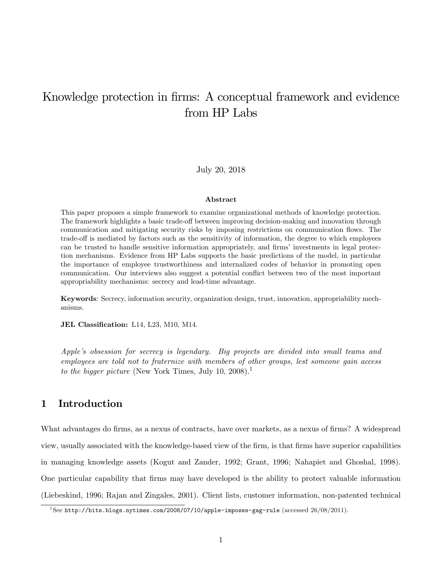## Knowledge protection in firms: A conceptual framework and evidence from HP Labs

July 20, 2018

#### Abstract

This paper proposes a simple framework to examine organizational methods of knowledge protection. The framework highlights a basic trade-off between improving decision-making and innovation through communication and mitigating security risks by imposing restrictions on communication áows. The trade-off is mediated by factors such as the sensitivity of information, the degree to which employees can be trusted to handle sensitive information appropriately, and firms' investments in legal protection mechanisms. Evidence from HP Labs supports the basic predictions of the model, in particular the importance of employee trustworthiness and internalized codes of behavior in promoting open communication. Our interviews also suggest a potential conflict between two of the most important appropriability mechanisms: secrecy and lead-time advantage.

Keywords: Secrecy, information security, organization design, trust, innovation, appropriability mechanisms.

JEL Classification: L14, L23, M10, M14.

Apple's obsession for secrecy is legendary. Big projects are divided into small teams and employees are told not to fraternize with members of other groups, lest someone gain access to the bigger picture (New York Times, July 10, 2008).<sup>1</sup>

## 1 Introduction

What advantages do firms, as a nexus of contracts, have over markets, as a nexus of firms? A widespread view, usually associated with the knowledge-based view of the Örm, is that Örms have superior capabilities in managing knowledge assets (Kogut and Zander, 1992; Grant, 1996; Nahapiet and Ghoshal, 1998). One particular capability that Örms may have developed is the ability to protect valuable information (Liebeskind, 1996; Rajan and Zingales, 2001). Client lists, customer information, non-patented technical

 $^1\rm{See~http://bits.blogs.nytimes.com/2008/07/10/apple-imposes-gag-rule}$   $\rm{(accessed~26/08/2011)}.$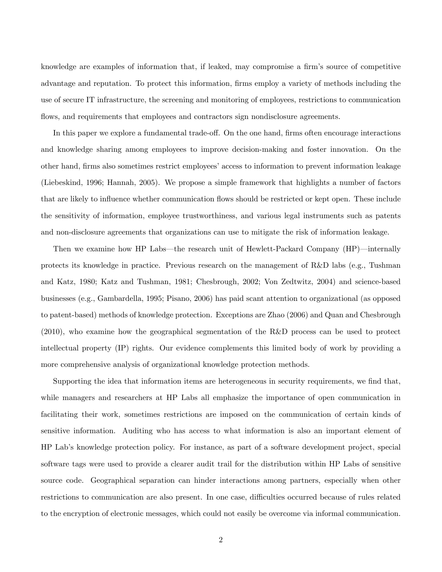knowledge are examples of information that, if leaked, may compromise a firm's source of competitive advantage and reputation. To protect this information, firms employ a variety of methods including the use of secure IT infrastructure, the screening and monitoring of employees, restrictions to communication flows, and requirements that employees and contractors sign nondisclosure agreements.

In this paper we explore a fundamental trade-off. On the one hand, firms often encourage interactions and knowledge sharing among employees to improve decision-making and foster innovation. On the other hand, firms also sometimes restrict employees' access to information to prevent information leakage (Liebeskind, 1996; Hannah, 2005). We propose a simple framework that highlights a number of factors that are likely to influence whether communication flows should be restricted or kept open. These include the sensitivity of information, employee trustworthiness, and various legal instruments such as patents and non-disclosure agreements that organizations can use to mitigate the risk of information leakage.

Then we examine how HP Labs—the research unit of Hewlett-Packard Company (HP)—internally protects its knowledge in practice. Previous research on the management of R&D labs (e.g., Tushman and Katz, 1980; Katz and Tushman, 1981; Chesbrough, 2002; Von Zedtwitz, 2004) and science-based businesses (e.g., Gambardella, 1995; Pisano, 2006) has paid scant attention to organizational (as opposed to patent-based) methods of knowledge protection. Exceptions are Zhao (2006) and Quan and Chesbrough (2010), who examine how the geographical segmentation of the R&D process can be used to protect intellectual property (IP) rights. Our evidence complements this limited body of work by providing a more comprehensive analysis of organizational knowledge protection methods.

Supporting the idea that information items are heterogeneous in security requirements, we find that, while managers and researchers at HP Labs all emphasize the importance of open communication in facilitating their work, sometimes restrictions are imposed on the communication of certain kinds of sensitive information. Auditing who has access to what information is also an important element of HP Labís knowledge protection policy. For instance, as part of a software development project, special software tags were used to provide a clearer audit trail for the distribution within HP Labs of sensitive source code. Geographical separation can hinder interactions among partners, especially when other restrictions to communication are also present. In one case, difficulties occurred because of rules related to the encryption of electronic messages, which could not easily be overcome via informal communication.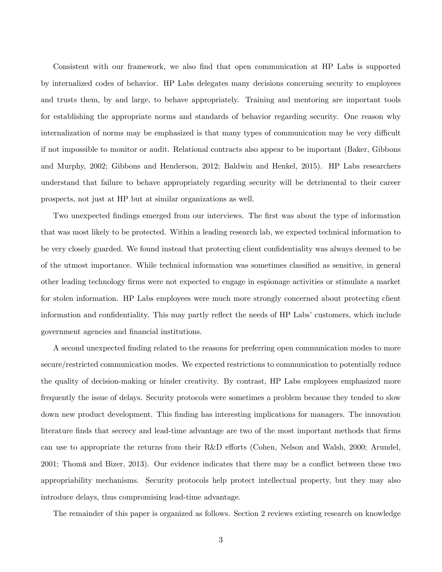Consistent with our framework, we also find that open communication at HP Labs is supported by internalized codes of behavior. HP Labs delegates many decisions concerning security to employees and trusts them, by and large, to behave appropriately. Training and mentoring are important tools for establishing the appropriate norms and standards of behavior regarding security. One reason why internalization of norms may be emphasized is that many types of communication may be very difficult if not impossible to monitor or audit. Relational contracts also appear to be important (Baker, Gibbons and Murphy, 2002; Gibbons and Henderson, 2012; Baldwin and Henkel, 2015). HP Labs researchers understand that failure to behave appropriately regarding security will be detrimental to their career prospects, not just at HP but at similar organizations as well.

Two unexpected findings emerged from our interviews. The first was about the type of information that was most likely to be protected. Within a leading research lab, we expected technical information to be very closely guarded. We found instead that protecting client confidentiality was always deemed to be of the utmost importance. While technical information was sometimes classified as sensitive, in general other leading technology Örms were not expected to engage in espionage activities or stimulate a market for stolen information. HP Labs employees were much more strongly concerned about protecting client information and confidentiality. This may partly reflect the needs of HP Labs' customers, which include government agencies and financial institutions.

A second unexpected Önding related to the reasons for preferring open communication modes to more secure/restricted communication modes. We expected restrictions to communication to potentially reduce the quality of decision-making or hinder creativity. By contrast, HP Labs employees emphasized more frequently the issue of delays. Security protocols were sometimes a problem because they tended to slow down new product development. This Önding has interesting implications for managers. The innovation literature finds that secrecy and lead-time advantage are two of the most important methods that firms can use to appropriate the returns from their  $R\&D$  efforts (Cohen, Nelson and Walsh, 2000; Arundel, 2001; Thomä and Bizer, 2013). Our evidence indicates that there may be a conflict between these two appropriability mechanisms. Security protocols help protect intellectual property, but they may also introduce delays, thus compromising lead-time advantage.

The remainder of this paper is organized as follows. Section 2 reviews existing research on knowledge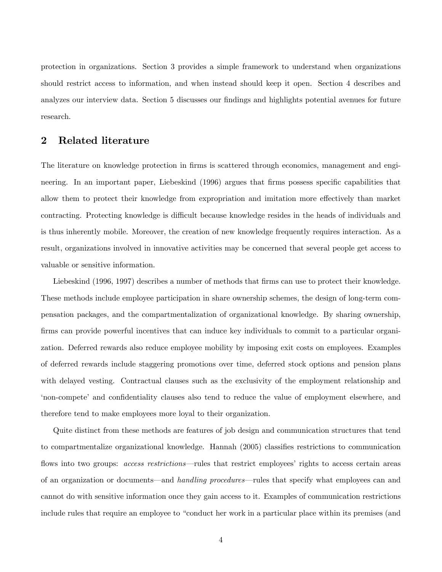protection in organizations. Section 3 provides a simple framework to understand when organizations should restrict access to information, and when instead should keep it open. Section 4 describes and analyzes our interview data. Section 5 discusses our findings and highlights potential avenues for future research.

## 2 Related literature

The literature on knowledge protection in firms is scattered through economics, management and engineering. In an important paper, Liebeskind (1996) argues that firms possess specific capabilities that allow them to protect their knowledge from expropriation and imitation more effectively than market contracting. Protecting knowledge is difficult because knowledge resides in the heads of individuals and is thus inherently mobile. Moreover, the creation of new knowledge frequently requires interaction. As a result, organizations involved in innovative activities may be concerned that several people get access to valuable or sensitive information.

Liebeskind (1996, 1997) describes a number of methods that firms can use to protect their knowledge. These methods include employee participation in share ownership schemes, the design of long-term compensation packages, and the compartmentalization of organizational knowledge. By sharing ownership, firms can provide powerful incentives that can induce key individuals to commit to a particular organization. Deferred rewards also reduce employee mobility by imposing exit costs on employees. Examples of deferred rewards include staggering promotions over time, deferred stock options and pension plans with delayed vesting. Contractual clauses such as the exclusivity of the employment relationship and ënon-competeí and conÖdentiality clauses also tend to reduce the value of employment elsewhere, and therefore tend to make employees more loyal to their organization.

Quite distinct from these methods are features of job design and communication structures that tend to compartmentalize organizational knowledge. Hannah (2005) classifies restrictions to communication flows into two groups: *access restrictions*—rules that restrict employees' rights to access certain areas of an organization or documents—and handling procedures—rules that specify what employees can and cannot do with sensitive information once they gain access to it. Examples of communication restrictions include rules that require an employee to "conduct her work in a particular place within its premises (and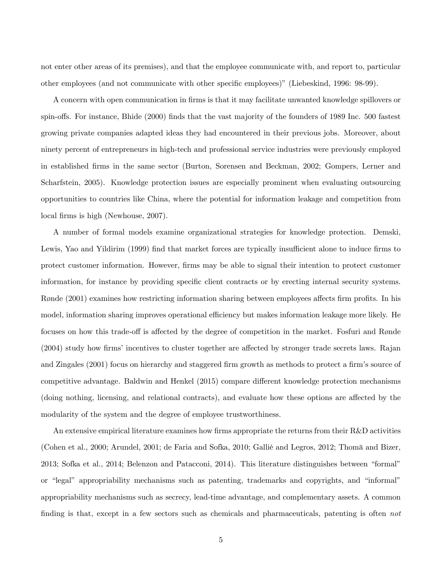not enter other areas of its premises), and that the employee communicate with, and report to, particular other employees (and not communicate with other specific employees)" (Liebeskind, 1996: 98-99).

A concern with open communication in firms is that it may facilitate unwanted knowledge spillovers or spin-offs. For instance, Bhide (2000) finds that the vast majority of the founders of 1989 Inc. 500 fastest growing private companies adapted ideas they had encountered in their previous jobs. Moreover, about ninety percent of entrepreneurs in high-tech and professional service industries were previously employed in established Örms in the same sector (Burton, Sorensen and Beckman, 2002; Gompers, Lerner and Scharfstein, 2005). Knowledge protection issues are especially prominent when evaluating outsourcing opportunities to countries like China, where the potential for information leakage and competition from local firms is high (Newhouse, 2007).

A number of formal models examine organizational strategies for knowledge protection. Demski, Lewis, Yao and Yildirim (1999) find that market forces are typically insufficient alone to induce firms to protect customer information. However, firms may be able to signal their intention to protect customer information, for instance by providing specific client contracts or by erecting internal security systems. Rønde (2001) examines how restricting information sharing between employees affects firm profits. In his model, information sharing improves operational efficiency but makes information leakage more likely. He focuses on how this trade-off is affected by the degree of competition in the market. Fosfuri and Rønde  $(2004)$  study how firms' incentives to cluster together are affected by stronger trade secrets laws. Rajan and Zingales (2001) focus on hierarchy and staggered firm growth as methods to protect a firm's source of competitive advantage. Baldwin and Henkel (2015) compare different knowledge protection mechanisms (doing nothing, licensing, and relational contracts), and evaluate how these options are affected by the modularity of the system and the degree of employee trustworthiness.

An extensive empirical literature examines how firms appropriate the returns from their R&D activities (Cohen et al., 2000; Arundel, 2001; de Faria and Sofka, 2010; Gallié and Legros, 2012; Thomä and Bizer, 2013; Sofka et al., 2014; Belenzon and Patacconi, 2014). This literature distinguishes between "formal" or "legal" appropriability mechanisms such as patenting, trademarks and copyrights, and "informal" appropriability mechanisms such as secrecy, lead-time advantage, and complementary assets. A common finding is that, except in a few sectors such as chemicals and pharmaceuticals, patenting is often not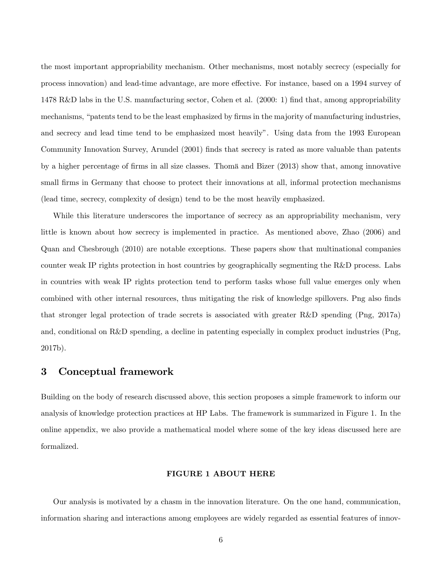the most important appropriability mechanism. Other mechanisms, most notably secrecy (especially for process innovation) and lead-time advantage, are more effective. For instance, based on a 1994 survey of 1478 R&D labs in the U.S. manufacturing sector, Cohen et al. (2000: 1) find that, among appropriability mechanisms, "patents tend to be the least emphasized by firms in the majority of manufacturing industries, and secrecy and lead time tend to be emphasized most heavily". Using data from the 1993 European Community Innovation Survey, Arundel (2001) finds that secrecy is rated as more valuable than patents by a higher percentage of firms in all size classes. Thoma and Bizer (2013) show that, among innovative small firms in Germany that choose to protect their innovations at all, informal protection mechanisms (lead time, secrecy, complexity of design) tend to be the most heavily emphasized.

While this literature underscores the importance of secrecy as an appropriability mechanism, very little is known about how secrecy is implemented in practice. As mentioned above, Zhao (2006) and Quan and Chesbrough (2010) are notable exceptions. These papers show that multinational companies counter weak IP rights protection in host countries by geographically segmenting the R&D process. Labs in countries with weak IP rights protection tend to perform tasks whose full value emerges only when combined with other internal resources, thus mitigating the risk of knowledge spillovers. Png also finds that stronger legal protection of trade secrets is associated with greater R&D spending (Png, 2017a) and, conditional on R&D spending, a decline in patenting especially in complex product industries (Png, 2017b).

### 3 Conceptual framework

Building on the body of research discussed above, this section proposes a simple framework to inform our analysis of knowledge protection practices at HP Labs. The framework is summarized in Figure 1. In the online appendix, we also provide a mathematical model where some of the key ideas discussed here are formalized.

#### FIGURE 1 ABOUT HERE

Our analysis is motivated by a chasm in the innovation literature. On the one hand, communication, information sharing and interactions among employees are widely regarded as essential features of innov-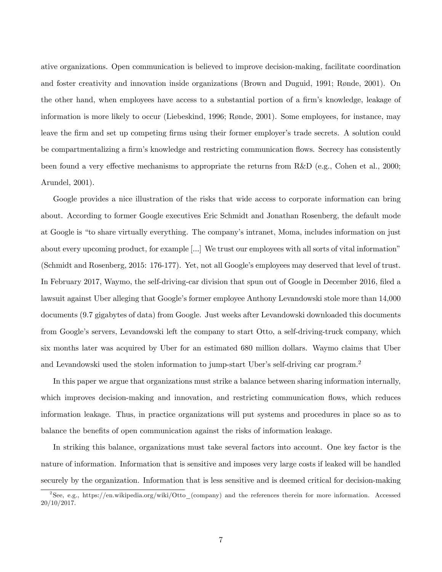ative organizations. Open communication is believed to improve decision-making, facilitate coordination and foster creativity and innovation inside organizations (Brown and Duguid, 1991; Rønde, 2001). On the other hand, when employees have access to a substantial portion of a firm's knowledge, leakage of information is more likely to occur (Liebeskind, 1996; Rønde, 2001). Some employees, for instance, may leave the firm and set up competing firms using their former employer's trade secrets. A solution could be compartmentalizing a firm's knowledge and restricting communication flows. Secrecy has consistently been found a very effective mechanisms to appropriate the returns from  $R&D$  (e.g., Cohen et al., 2000; Arundel, 2001).

Google provides a nice illustration of the risks that wide access to corporate information can bring about. According to former Google executives Eric Schmidt and Jonathan Rosenberg, the default mode at Google is "to share virtually everything. The company's intranet, Moma, includes information on just about every upcoming product, for example [...] We trust our employees with all sorts of vital information" (Schmidt and Rosenberg, 2015: 176-177). Yet, not all Google's employees may deserved that level of trust. In February 2017, Waymo, the self-driving-car division that spun out of Google in December 2016, filed a lawsuit against Uber alleging that Google's former employee Anthony Levandowski stole more than 14,000 documents (9.7 gigabytes of data) from Google. Just weeks after Levandowski downloaded this documents from Google's servers, Levandowski left the company to start Otto, a self-driving-truck company, which six months later was acquired by Uber for an estimated 680 million dollars. Waymo claims that Uber and Levandowski used the stolen information to jump-start Uber's self-driving car program.<sup>2</sup>

In this paper we argue that organizations must strike a balance between sharing information internally, which improves decision-making and innovation, and restricting communication flows, which reduces information leakage. Thus, in practice organizations will put systems and procedures in place so as to balance the benefits of open communication against the risks of information leakage.

In striking this balance, organizations must take several factors into account. One key factor is the nature of information. Information that is sensitive and imposes very large costs if leaked will be handled securely by the organization. Information that is less sensitive and is deemed critical for decision-making

<sup>2</sup> See, e.g., https://en.wikipedia.org/wiki/Otto\_(company) and the references therein for more information. Accessed 20/10/2017.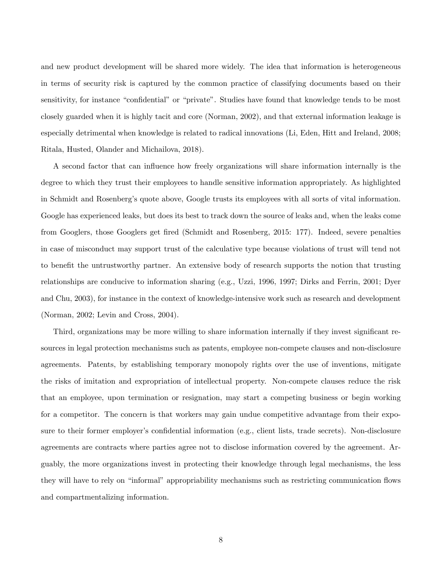and new product development will be shared more widely. The idea that information is heterogeneous in terms of security risk is captured by the common practice of classifying documents based on their sensitivity, for instance "confidential" or "private". Studies have found that knowledge tends to be most closely guarded when it is highly tacit and core (Norman, 2002), and that external information leakage is especially detrimental when knowledge is related to radical innovations (Li, Eden, Hitt and Ireland, 2008; Ritala, Husted, Olander and Michailova, 2018).

A second factor that can ináuence how freely organizations will share information internally is the degree to which they trust their employees to handle sensitive information appropriately. As highlighted in Schmidt and Rosenbergís quote above, Google trusts its employees with all sorts of vital information. Google has experienced leaks, but does its best to track down the source of leaks and, when the leaks come from Googlers, those Googlers get fired (Schmidt and Rosenberg, 2015: 177). Indeed, severe penalties in case of misconduct may support trust of the calculative type because violations of trust will tend not to benefit the untrustworthy partner. An extensive body of research supports the notion that trusting relationships are conducive to information sharing (e.g., Uzzi, 1996, 1997; Dirks and Ferrin, 2001; Dyer and Chu, 2003), for instance in the context of knowledge-intensive work such as research and development (Norman, 2002; Levin and Cross, 2004).

Third, organizations may be more willing to share information internally if they invest significant resources in legal protection mechanisms such as patents, employee non-compete clauses and non-disclosure agreements. Patents, by establishing temporary monopoly rights over the use of inventions, mitigate the risks of imitation and expropriation of intellectual property. Non-compete clauses reduce the risk that an employee, upon termination or resignation, may start a competing business or begin working for a competitor. The concern is that workers may gain undue competitive advantage from their exposure to their former employer's confidential information (e.g., client lists, trade secrets). Non-disclosure agreements are contracts where parties agree not to disclose information covered by the agreement. Arguably, the more organizations invest in protecting their knowledge through legal mechanisms, the less they will have to rely on "informal" appropriability mechanisms such as restricting communication flows and compartmentalizing information.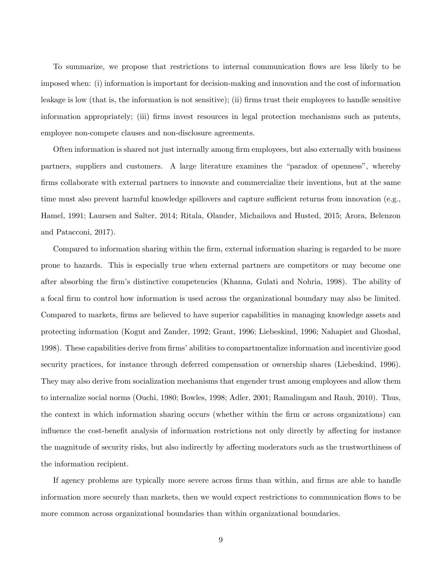To summarize, we propose that restrictions to internal communication áows are less likely to be imposed when: (i) information is important for decision-making and innovation and the cost of information leakage is low (that is, the information is not sensitive); (ii) Örms trust their employees to handle sensitive information appropriately; (iii) Örms invest resources in legal protection mechanisms such as patents, employee non-compete clauses and non-disclosure agreements.

Often information is shared not just internally among firm employees, but also externally with business partners, suppliers and customers. A large literature examines the "paradox of openness", whereby firms collaborate with external partners to innovate and commercialize their inventions, but at the same time must also prevent harmful knowledge spillovers and capture sufficient returns from innovation (e.g., Hamel, 1991; Laursen and Salter, 2014; Ritala, Olander, Michailova and Husted, 2015; Arora, Belenzon and Patacconi, 2017).

Compared to information sharing within the firm, external information sharing is regarded to be more prone to hazards. This is especially true when external partners are competitors or may become one after absorbing the Örmís distinctive competencies (Khanna, Gulati and Nohria, 1998). The ability of a focal Örm to control how information is used across the organizational boundary may also be limited. Compared to markets, firms are believed to have superior capabilities in managing knowledge assets and protecting information (Kogut and Zander, 1992; Grant, 1996; Liebeskind, 1996; Nahapiet and Ghoshal, 1998). These capabilities derive from firms' abilities to compartmentalize information and incentivize good security practices, for instance through deferred compensation or ownership shares (Liebeskind, 1996). They may also derive from socialization mechanisms that engender trust among employees and allow them to internalize social norms (Ouchi, 1980; Bowles, 1998; Adler, 2001; Ramalingam and Rauh, 2010). Thus, the context in which information sharing occurs (whether within the Örm or across organizations) can influence the cost-benefit analysis of information restrictions not only directly by affecting for instance the magnitude of security risks, but also indirectly by affecting moderators such as the trustworthiness of the information recipient.

If agency problems are typically more severe across firms than within, and firms are able to handle information more securely than markets, then we would expect restrictions to communication flows to be more common across organizational boundaries than within organizational boundaries.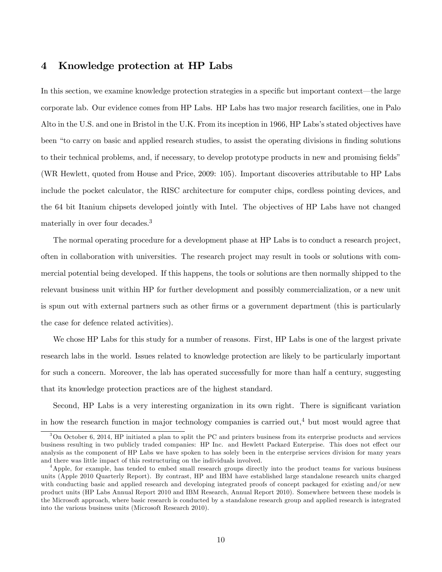## 4 Knowledge protection at HP Labs

In this section, we examine knowledge protection strategies in a specific but important context—the large corporate lab. Our evidence comes from HP Labs. HP Labs has two major research facilities, one in Palo Alto in the U.S. and one in Bristol in the U.K. From its inception in 1966, HP Labs's stated objectives have been "to carry on basic and applied research studies, to assist the operating divisions in finding solutions to their technical problems, and, if necessary, to develop prototype products in new and promising fields" (WR Hewlett, quoted from House and Price, 2009: 105). Important discoveries attributable to HP Labs include the pocket calculator, the RISC architecture for computer chips, cordless pointing devices, and the 64 bit Itanium chipsets developed jointly with Intel. The objectives of HP Labs have not changed materially in over four decades.<sup>3</sup>

The normal operating procedure for a development phase at HP Labs is to conduct a research project, often in collaboration with universities. The research project may result in tools or solutions with commercial potential being developed. If this happens, the tools or solutions are then normally shipped to the relevant business unit within HP for further development and possibly commercialization, or a new unit is spun out with external partners such as other firms or a government department (this is particularly the case for defence related activities).

We chose HP Labs for this study for a number of reasons. First, HP Labs is one of the largest private research labs in the world. Issues related to knowledge protection are likely to be particularly important for such a concern. Moreover, the lab has operated successfully for more than half a century, suggesting that its knowledge protection practices are of the highest standard.

Second, HP Labs is a very interesting organization in its own right. There is significant variation in how the research function in major technology companies is carried out,<sup>4</sup> but most would agree that

 $3$ On October 6, 2014, HP initiated a plan to split the PC and printers business from its enterprise products and services business resulting in two publicly traded companies: HP Inc. and Hewlett Packard Enterprise. This does not effect our analysis as the component of HP Labs we have spoken to has solely been in the enterprise services division for many years and there was little impact of this restructuring on the individuals involved.

<sup>&</sup>lt;sup>4</sup>Apple, for example, has tended to embed small research groups directly into the product teams for various business units (Apple 2010 Quarterly Report). By contrast, HP and IBM have established large standalone research units charged with conducting basic and applied research and developing integrated proofs of concept packaged for existing and/or new product units (HP Labs Annual Report 2010 and IBM Research, Annual Report 2010). Somewhere between these models is the Microsoft approach, where basic research is conducted by a standalone research group and applied research is integrated into the various business units (Microsoft Research 2010).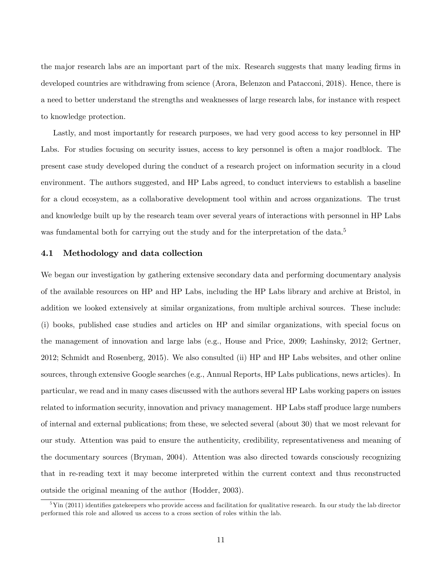the major research labs are an important part of the mix. Research suggests that many leading firms in developed countries are withdrawing from science (Arora, Belenzon and Patacconi, 2018). Hence, there is a need to better understand the strengths and weaknesses of large research labs, for instance with respect to knowledge protection.

Lastly, and most importantly for research purposes, we had very good access to key personnel in HP Labs. For studies focusing on security issues, access to key personnel is often a major roadblock. The present case study developed during the conduct of a research project on information security in a cloud environment. The authors suggested, and HP Labs agreed, to conduct interviews to establish a baseline for a cloud ecosystem, as a collaborative development tool within and across organizations. The trust and knowledge built up by the research team over several years of interactions with personnel in HP Labs was fundamental both for carrying out the study and for the interpretation of the data.<sup>5</sup>

#### 4.1 Methodology and data collection

We began our investigation by gathering extensive secondary data and performing documentary analysis of the available resources on HP and HP Labs, including the HP Labs library and archive at Bristol, in addition we looked extensively at similar organizations, from multiple archival sources. These include: (i) books, published case studies and articles on HP and similar organizations, with special focus on the management of innovation and large labs (e.g., House and Price, 2009; Lashinsky, 2012; Gertner, 2012; Schmidt and Rosenberg, 2015). We also consulted (ii) HP and HP Labs websites, and other online sources, through extensive Google searches (e.g., Annual Reports, HP Labs publications, news articles). In particular, we read and in many cases discussed with the authors several HP Labs working papers on issues related to information security, innovation and privacy management. HP Labs staff produce large numbers of internal and external publications; from these, we selected several (about 30) that we most relevant for our study. Attention was paid to ensure the authenticity, credibility, representativeness and meaning of the documentary sources (Bryman, 2004). Attention was also directed towards consciously recognizing that in re-reading text it may become interpreted within the current context and thus reconstructed outside the original meaning of the author (Hodder, 2003).

 $5\,\mathrm{Y}$ in (2011) identifies gatekeepers who provide access and facilitation for qualitative research. In our study the lab director performed this role and allowed us access to a cross section of roles within the lab.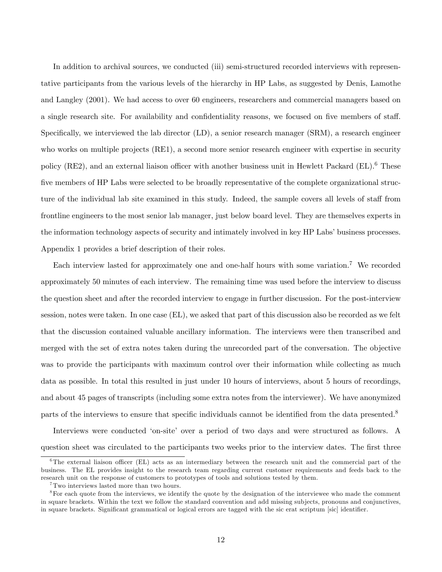In addition to archival sources, we conducted (iii) semi-structured recorded interviews with representative participants from the various levels of the hierarchy in HP Labs, as suggested by Denis, Lamothe and Langley (2001). We had access to over 60 engineers, researchers and commercial managers based on a single research site. For availability and confidentiality reasons, we focused on five members of staff. Specifically, we interviewed the lab director  $(LD)$ , a senior research manager  $(SRM)$ , a research engineer who works on multiple projects (RE1), a second more senior research engineer with expertise in security policy (RE2), and an external liaison officer with another business unit in Hewlett Packard (EL).<sup>6</sup> These five members of HP Labs were selected to be broadly representative of the complete organizational structure of the individual lab site examined in this study. Indeed, the sample covers all levels of staff from frontline engineers to the most senior lab manager, just below board level. They are themselves experts in the information technology aspects of security and intimately involved in key HP Labs' business processes. Appendix 1 provides a brief description of their roles.

Each interview lasted for approximately one and one-half hours with some variation.<sup>7</sup> We recorded approximately 50 minutes of each interview. The remaining time was used before the interview to discuss the question sheet and after the recorded interview to engage in further discussion. For the post-interview session, notes were taken. In one case (EL), we asked that part of this discussion also be recorded as we felt that the discussion contained valuable ancillary information. The interviews were then transcribed and merged with the set of extra notes taken during the unrecorded part of the conversation. The objective was to provide the participants with maximum control over their information while collecting as much data as possible. In total this resulted in just under 10 hours of interviews, about 5 hours of recordings, and about 45 pages of transcripts (including some extra notes from the interviewer). We have anonymized parts of the interviews to ensure that specific individuals cannot be identified from the data presented. $8$ 

Interviews were conducted 'on-site' over a period of two days and were structured as follows. A question sheet was circulated to the participants two weeks prior to the interview dates. The first three

 $6$ The external liaison officer (EL) acts as an intermediary between the research unit and the commercial part of the business. The EL provides insight to the research team regarding current customer requirements and feeds back to the research unit on the response of customers to prototypes of tools and solutions tested by them.

<sup>&</sup>lt;sup>7</sup>Two interviews lasted more than two hours.

<sup>&</sup>lt;sup>8</sup>For each quote from the interviews, we identify the quote by the designation of the interviewee who made the comment in square brackets. Within the text we follow the standard convention and add missing subjects, pronouns and conjunctives, in square brackets. Significant grammatical or logical errors are tagged with the sic erat scriptum [sic] identifier.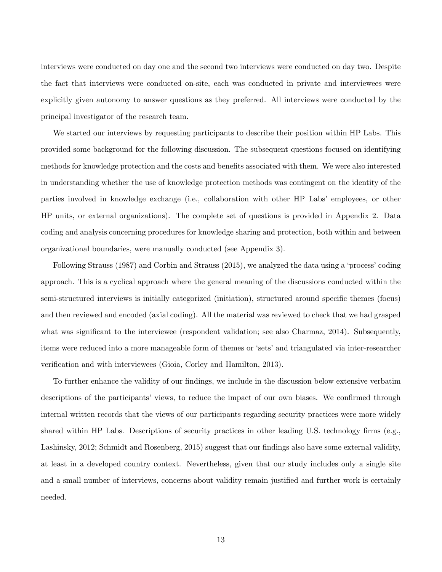interviews were conducted on day one and the second two interviews were conducted on day two. Despite the fact that interviews were conducted on-site, each was conducted in private and interviewees were explicitly given autonomy to answer questions as they preferred. All interviews were conducted by the principal investigator of the research team.

We started our interviews by requesting participants to describe their position within HP Labs. This provided some background for the following discussion. The subsequent questions focused on identifying methods for knowledge protection and the costs and benefits associated with them. We were also interested in understanding whether the use of knowledge protection methods was contingent on the identity of the parties involved in knowledge exchange (i.e., collaboration with other HP Labs' employees, or other HP units, or external organizations). The complete set of questions is provided in Appendix 2. Data coding and analysis concerning procedures for knowledge sharing and protection, both within and between organizational boundaries, were manually conducted (see Appendix 3).

Following Strauss (1987) and Corbin and Strauss (2015), we analyzed the data using a 'process' coding approach. This is a cyclical approach where the general meaning of the discussions conducted within the semi-structured interviews is initially categorized (initiation), structured around specific themes (focus) and then reviewed and encoded (axial coding). All the material was reviewed to check that we had grasped what was significant to the interviewee (respondent validation; see also Charmaz, 2014). Subsequently, items were reduced into a more manageable form of themes or ësetsíand triangulated via inter-researcher verification and with interviewees (Gioia, Corley and Hamilton, 2013).

To further enhance the validity of our findings, we include in the discussion below extensive verbatim descriptions of the participants' views, to reduce the impact of our own biases. We confirmed through internal written records that the views of our participants regarding security practices were more widely shared within HP Labs. Descriptions of security practices in other leading U.S. technology firms (e.g., Lashinsky, 2012; Schmidt and Rosenberg, 2015) suggest that our findings also have some external validity, at least in a developed country context. Nevertheless, given that our study includes only a single site and a small number of interviews, concerns about validity remain justified and further work is certainly needed.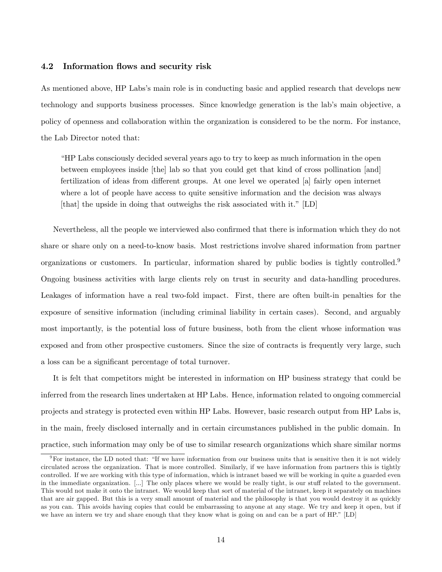#### 4.2 Information flows and security risk

As mentioned above, HP Labs's main role is in conducting basic and applied research that develops new technology and supports business processes. Since knowledge generation is the labís main objective, a policy of openness and collaboration within the organization is considered to be the norm. For instance, the Lab Director noted that:

ìHP Labs consciously decided several years ago to try to keep as much information in the open between employees inside [the] lab so that you could get that kind of cross pollination [and] fertilization of ideas from different groups. At one level we operated [a] fairly open internet where a lot of people have access to quite sensitive information and the decision was always [that] the upside in doing that outweighs the risk associated with it.<sup>n</sup> [LD]

Nevertheless, all the people we interviewed also confirmed that there is information which they do not share or share only on a need-to-know basis. Most restrictions involve shared information from partner organizations or customers. In particular, information shared by public bodies is tightly controlled.<sup>9</sup> Ongoing business activities with large clients rely on trust in security and data-handling procedures. Leakages of information have a real two-fold impact. First, there are often built-in penalties for the exposure of sensitive information (including criminal liability in certain cases). Second, and arguably most importantly, is the potential loss of future business, both from the client whose information was exposed and from other prospective customers. Since the size of contracts is frequently very large, such a loss can be a significant percentage of total turnover.

It is felt that competitors might be interested in information on HP business strategy that could be inferred from the research lines undertaken at HP Labs. Hence, information related to ongoing commercial projects and strategy is protected even within HP Labs. However, basic research output from HP Labs is, in the main, freely disclosed internally and in certain circumstances published in the public domain. In practice, such information may only be of use to similar research organizations which share similar norms

 ${}^{9}$  For instance, the LD noted that: "If we have information from our business units that is sensitive then it is not widely circulated across the organization. That is more controlled. Similarly, if we have information from partners this is tightly controlled. If we are working with this type of information, which is intranet based we will be working in quite a guarded even in the immediate organization. [...] The only places where we would be really tight, is our stuff related to the government. This would not make it onto the intranet. We would keep that sort of material of the intranet, keep it separately on machines that are air gapped. But this is a very small amount of material and the philosophy is that you would destroy it as quickly as you can. This avoids having copies that could be embarrassing to anyone at any stage. We try and keep it open, but if we have an intern we try and share enough that they know what is going on and can be a part of HP." [LD]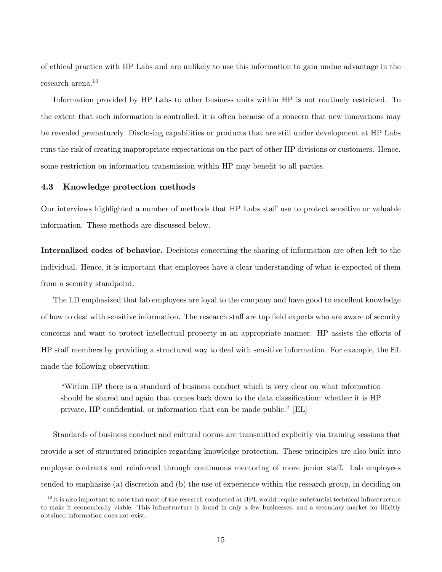of ethical practice with HP Labs and are unlikely to use this information to gain undue advantage in the research arena.<sup>10</sup>

Information provided by HP Labs to other business units within HP is not routinely restricted. To the extent that such information is controlled, it is often because of a concern that new innovations may be revealed prematurely. Disclosing capabilities or products that are still under development at HP Labs runs the risk of creating inappropriate expectations on the part of other HP divisions or customers. Hence, some restriction on information transmission within HP may benefit to all parties.

#### 4.3 Knowledge protection methods

Our interviews highlighted a number of methods that HP Labs staff use to protect sensitive or valuable information. These methods are discussed below.

Internalized codes of behavior. Decisions concerning the sharing of information are often left to the individual. Hence, it is important that employees have a clear understanding of what is expected of them from a security standpoint.

The LD emphasized that lab employees are loyal to the company and have good to excellent knowledge of how to deal with sensitive information. The research staff are top field experts who are aware of security concerns and want to protect intellectual property in an appropriate manner. HP assists the efforts of HP staff members by providing a structured way to deal with sensitive information. For example, the EL made the following observation:

ìWithin HP there is a standard of business conduct which is very clear on what information should be shared and again that comes back down to the data classification: whether it is HP private,  $HP$  confidential, or information that can be made public."  $[EL]$ 

Standards of business conduct and cultural norms are transmitted explicitly via training sessions that provide a set of structured principles regarding knowledge protection. These principles are also built into employee contracts and reinforced through continuous mentoring of more junior staff. Lab employees tended to emphasize (a) discretion and (b) the use of experience within the research group, in deciding on

 $10$  It is also important to note that most of the research conducted at HPL would require substantial technical infrastructure to make it economically viable. This infrastructure is found in only a few businesses, and a secondary market for illicitly obtained information does not exist.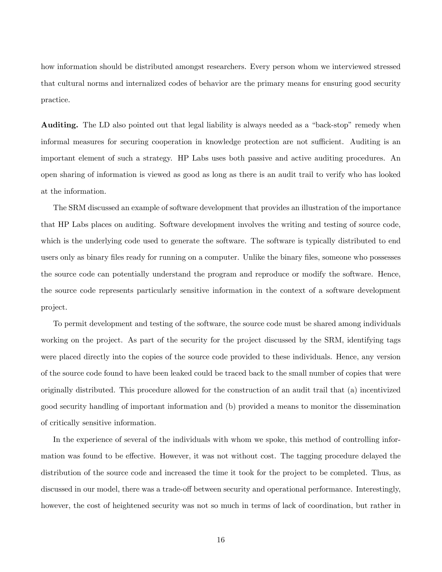how information should be distributed amongst researchers. Every person whom we interviewed stressed that cultural norms and internalized codes of behavior are the primary means for ensuring good security practice.

**Auditing.** The LD also pointed out that legal liability is always needed as a "back-stop" remedy when informal measures for securing cooperation in knowledge protection are not sufficient. Auditing is an important element of such a strategy. HP Labs uses both passive and active auditing procedures. An open sharing of information is viewed as good as long as there is an audit trail to verify who has looked at the information.

The SRM discussed an example of software development that provides an illustration of the importance that HP Labs places on auditing. Software development involves the writing and testing of source code, which is the underlying code used to generate the software. The software is typically distributed to end users only as binary files ready for running on a computer. Unlike the binary files, someone who possesses the source code can potentially understand the program and reproduce or modify the software. Hence, the source code represents particularly sensitive information in the context of a software development project.

To permit development and testing of the software, the source code must be shared among individuals working on the project. As part of the security for the project discussed by the SRM, identifying tags were placed directly into the copies of the source code provided to these individuals. Hence, any version of the source code found to have been leaked could be traced back to the small number of copies that were originally distributed. This procedure allowed for the construction of an audit trail that (a) incentivized good security handling of important information and (b) provided a means to monitor the dissemination of critically sensitive information.

In the experience of several of the individuals with whom we spoke, this method of controlling information was found to be effective. However, it was not without cost. The tagging procedure delayed the distribution of the source code and increased the time it took for the project to be completed. Thus, as discussed in our model, there was a trade-off between security and operational performance. Interestingly, however, the cost of heightened security was not so much in terms of lack of coordination, but rather in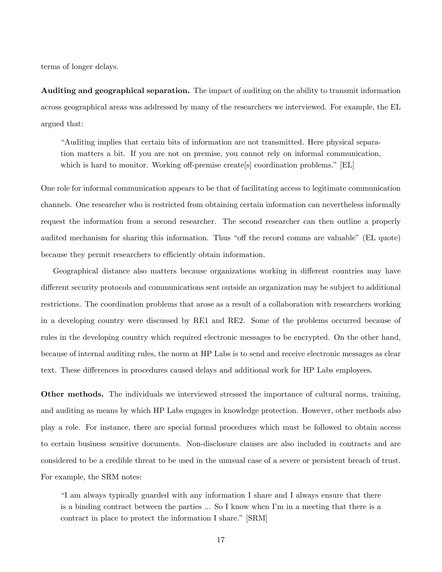terms of longer delays.

Auditing and geographical separation. The impact of auditing on the ability to transmit information across geographical areas was addressed by many of the researchers we interviewed. For example, the EL argued that:

ìAuditing implies that certain bits of information are not transmitted. Here physical separation matters a bit. If you are not on premise, you cannot rely on informal communication, which is hard to monitor. Working off-premise create s coordination problems."  $[EL]$ 

One role for informal communication appears to be that of facilitating access to legitimate communication channels. One researcher who is restricted from obtaining certain information can nevertheless informally request the information from a second researcher. The second researcher can then outline a properly audited mechanism for sharing this information. Thus "off the record comms are valuable" (EL quote) because they permit researchers to efficiently obtain information.

Geographical distance also matters because organizations working in different countries may have different security protocols and communications sent outside an organization may be subject to additional restrictions. The coordination problems that arose as a result of a collaboration with researchers working in a developing country were discussed by RE1 and RE2. Some of the problems occurred because of rules in the developing country which required electronic messages to be encrypted. On the other hand, because of internal auditing rules, the norm at HP Labs is to send and receive electronic messages as clear text. These differences in procedures caused delays and additional work for HP Labs employees.

Other methods. The individuals we interviewed stressed the importance of cultural norms, training, and auditing as means by which HP Labs engages in knowledge protection. However, other methods also play a role. For instance, there are special formal procedures which must be followed to obtain access to certain business sensitive documents. Non-disclosure clauses are also included in contracts and are considered to be a credible threat to be used in the unusual case of a severe or persistent breach of trust. For example, the SRM notes:

ìI am always typically guarded with any information I share and I always ensure that there is a binding contract between the parties ... So I know when I'm in a meeting that there is a contract in place to protect the information I share." [SRM]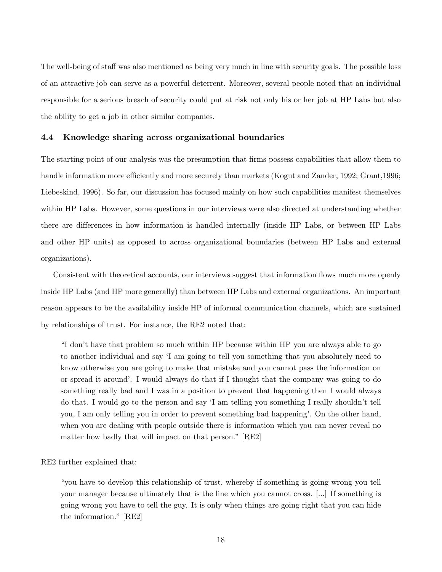The well-being of staff was also mentioned as being very much in line with security goals. The possible loss of an attractive job can serve as a powerful deterrent. Moreover, several people noted that an individual responsible for a serious breach of security could put at risk not only his or her job at HP Labs but also the ability to get a job in other similar companies.

#### 4.4 Knowledge sharing across organizational boundaries

The starting point of our analysis was the presumption that firms possess capabilities that allow them to handle information more efficiently and more securely than markets (Kogut and Zander, 1992; Grant, 1996; Liebeskind, 1996). So far, our discussion has focused mainly on how such capabilities manifest themselves within HP Labs. However, some questions in our interviews were also directed at understanding whether there are differences in how information is handled internally (inside HP Labs, or between HP Labs and other HP units) as opposed to across organizational boundaries (between HP Labs and external organizations).

Consistent with theoretical accounts, our interviews suggest that information flows much more openly inside HP Labs (and HP more generally) than between HP Labs and external organizations. An important reason appears to be the availability inside HP of informal communication channels, which are sustained by relationships of trust. For instance, the RE2 noted that:

ìI donít have that problem so much within HP because within HP you are always able to go to another individual and say ëI am going to tell you something that you absolutely need to know otherwise you are going to make that mistake and you cannot pass the information on or spread it around. I would always do that if I thought that the company was going to do something really bad and I was in a position to prevent that happening then I would always do that. I would go to the person and say ëI am telling you something I really shouldnít tell you, I am only telling you in order to prevent something bad happeningí. On the other hand, when you are dealing with people outside there is information which you can never reveal no matter how badly that will impact on that person." [RE2]

#### RE2 further explained that:

ìyou have to develop this relationship of trust, whereby if something is going wrong you tell your manager because ultimately that is the line which you cannot cross. [...] If something is going wrong you have to tell the guy. It is only when things are going right that you can hide the information."  $[RE2]$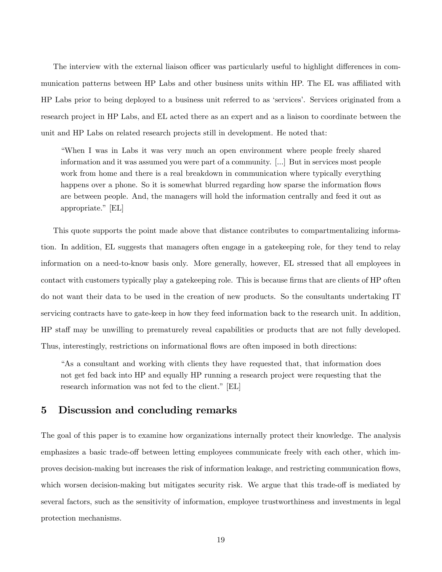The interview with the external liaison officer was particularly useful to highlight differences in communication patterns between HP Labs and other business units within HP. The EL was affiliated with HP Labs prior to being deployed to a business unit referred to as 'services'. Services originated from a research project in HP Labs, and EL acted there as an expert and as a liaison to coordinate between the unit and HP Labs on related research projects still in development. He noted that:

ìWhen I was in Labs it was very much an open environment where people freely shared information and it was assumed you were part of a community. [...] But in services most people work from home and there is a real breakdown in communication where typically everything happens over a phone. So it is somewhat blurred regarding how sparse the information flows are between people. And, the managers will hold the information centrally and feed it out as appropriate." [EL]

This quote supports the point made above that distance contributes to compartmentalizing information. In addition, EL suggests that managers often engage in a gatekeeping role, for they tend to relay information on a need-to-know basis only. More generally, however, EL stressed that all employees in contact with customers typically play a gate keeping role. This is because firms that are clients of HP often do not want their data to be used in the creation of new products. So the consultants undertaking IT servicing contracts have to gate-keep in how they feed information back to the research unit. In addition, HP staff may be unwilling to prematurely reveal capabilities or products that are not fully developed. Thus, interestingly, restrictions on informational flows are often imposed in both directions:

ìAs a consultant and working with clients they have requested that, that information does not get fed back into HP and equally HP running a research project were requesting that the research information was not fed to the client." [EL]

## 5 Discussion and concluding remarks

The goal of this paper is to examine how organizations internally protect their knowledge. The analysis emphasizes a basic trade-off between letting employees communicate freely with each other, which improves decision-making but increases the risk of information leakage, and restricting communication áows, which worsen decision-making but mitigates security risk. We argue that this trade-off is mediated by several factors, such as the sensitivity of information, employee trustworthiness and investments in legal protection mechanisms.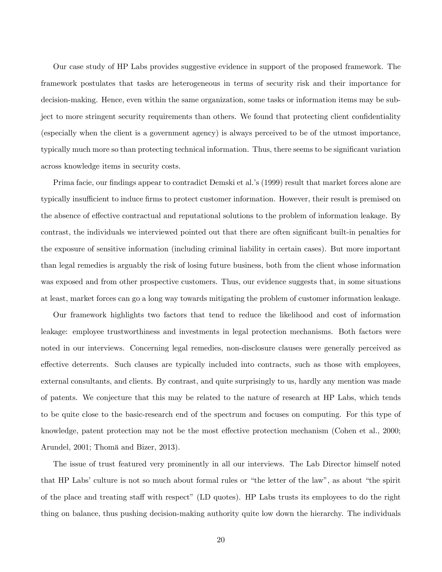Our case study of HP Labs provides suggestive evidence in support of the proposed framework. The framework postulates that tasks are heterogeneous in terms of security risk and their importance for decision-making. Hence, even within the same organization, some tasks or information items may be subject to more stringent security requirements than others. We found that protecting client confidentiality (especially when the client is a government agency) is always perceived to be of the utmost importance, typically much more so than protecting technical information. Thus, there seems to be significant variation across knowledge items in security costs.

Prima facie, our findings appear to contradict Demski et al.'s (1999) result that market forces alone are typically insufficient to induce firms to protect customer information. However, their result is premised on the absence of effective contractual and reputational solutions to the problem of information leakage. By contrast, the individuals we interviewed pointed out that there are often significant built-in penalties for the exposure of sensitive information (including criminal liability in certain cases). But more important than legal remedies is arguably the risk of losing future business, both from the client whose information was exposed and from other prospective customers. Thus, our evidence suggests that, in some situations at least, market forces can go a long way towards mitigating the problem of customer information leakage.

Our framework highlights two factors that tend to reduce the likelihood and cost of information leakage: employee trustworthiness and investments in legal protection mechanisms. Both factors were noted in our interviews. Concerning legal remedies, non-disclosure clauses were generally perceived as effective deterrents. Such clauses are typically included into contracts, such as those with employees, external consultants, and clients. By contrast, and quite surprisingly to us, hardly any mention was made of patents. We conjecture that this may be related to the nature of research at HP Labs, which tends to be quite close to the basic-research end of the spectrum and focuses on computing. For this type of knowledge, patent protection may not be the most effective protection mechanism (Cohen et al., 2000; Arundel, 2001; Thomä and Bizer, 2013).

The issue of trust featured very prominently in all our interviews. The Lab Director himself noted that HP Labs' culture is not so much about formal rules or "the letter of the law", as about "the spirit of the place and treating staff with respect" (LD quotes). HP Labs trusts its employees to do the right thing on balance, thus pushing decision-making authority quite low down the hierarchy. The individuals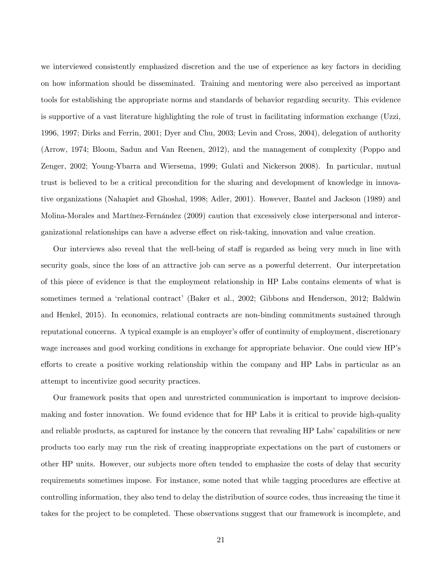we interviewed consistently emphasized discretion and the use of experience as key factors in deciding on how information should be disseminated. Training and mentoring were also perceived as important tools for establishing the appropriate norms and standards of behavior regarding security. This evidence is supportive of a vast literature highlighting the role of trust in facilitating information exchange (Uzzi, 1996, 1997; Dirks and Ferrin, 2001; Dyer and Chu, 2003; Levin and Cross, 2004), delegation of authority (Arrow, 1974; Bloom, Sadun and Van Reenen, 2012), and the management of complexity (Poppo and Zenger, 2002; Young-Ybarra and Wiersema, 1999; Gulati and Nickerson 2008). In particular, mutual trust is believed to be a critical precondition for the sharing and development of knowledge in innovative organizations (Nahapiet and Ghoshal, 1998; Adler, 2001). However, Bantel and Jackson (1989) and Molina-Morales and Martínez-Fernández (2009) caution that excessively close interpersonal and interorganizational relationships can have a adverse effect on risk-taking, innovation and value creation.

Our interviews also reveal that the well-being of staff is regarded as being very much in line with security goals, since the loss of an attractive job can serve as a powerful deterrent. Our interpretation of this piece of evidence is that the employment relationship in HP Labs contains elements of what is sometimes termed a 'relational contract' (Baker et al., 2002; Gibbons and Henderson, 2012; Baldwin and Henkel, 2015). In economics, relational contracts are non-binding commitments sustained through reputational concerns. A typical example is an employer's offer of continuity of employment, discretionary wage increases and good working conditions in exchange for appropriate behavior. One could view HP's efforts to create a positive working relationship within the company and HP Labs in particular as an attempt to incentivize good security practices.

Our framework posits that open and unrestricted communication is important to improve decisionmaking and foster innovation. We found evidence that for HP Labs it is critical to provide high-quality and reliable products, as captured for instance by the concern that revealing HP Labs' capabilities or new products too early may run the risk of creating inappropriate expectations on the part of customers or other HP units. However, our subjects more often tended to emphasize the costs of delay that security requirements sometimes impose. For instance, some noted that while tagging procedures are effective at controlling information, they also tend to delay the distribution of source codes, thus increasing the time it takes for the project to be completed. These observations suggest that our framework is incomplete, and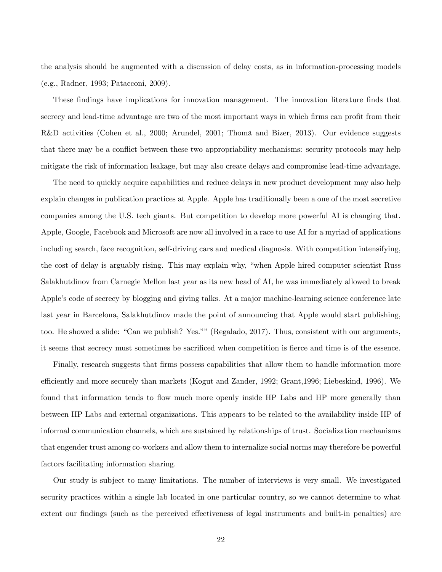the analysis should be augmented with a discussion of delay costs, as in information-processing models (e.g., Radner, 1993; Patacconi, 2009).

These findings have implications for innovation management. The innovation literature finds that secrecy and lead-time advantage are two of the most important ways in which firms can profit from their R&D activities (Cohen et al., 2000; Arundel, 2001; Thomä and Bizer, 2013). Our evidence suggests that there may be a conflict between these two appropriability mechanisms: security protocols may help mitigate the risk of information leakage, but may also create delays and compromise lead-time advantage.

The need to quickly acquire capabilities and reduce delays in new product development may also help explain changes in publication practices at Apple. Apple has traditionally been a one of the most secretive companies among the U.S. tech giants. But competition to develop more powerful AI is changing that. Apple, Google, Facebook and Microsoft are now all involved in a race to use AI for a myriad of applications including search, face recognition, self-driving cars and medical diagnosis. With competition intensifying, the cost of delay is arguably rising. This may explain why, "when Apple hired computer scientist Russ Salakhutdinov from Carnegie Mellon last year as its new head of AI, he was immediately allowed to break Apple's code of secrecy by blogging and giving talks. At a major machine-learning science conference late last year in Barcelona, Salakhutdinov made the point of announcing that Apple would start publishing, too. He showed a slide: "Can we publish? Yes."" (Regalado, 2017). Thus, consistent with our arguments, it seems that secrecy must sometimes be sacrificed when competition is fierce and time is of the essence.

Finally, research suggests that firms possess capabilities that allow them to handle information more efficiently and more securely than markets (Kogut and Zander, 1992; Grant, 1996; Liebeskind, 1996). We found that information tends to flow much more openly inside HP Labs and HP more generally than between HP Labs and external organizations. This appears to be related to the availability inside HP of informal communication channels, which are sustained by relationships of trust. Socialization mechanisms that engender trust among co-workers and allow them to internalize social norms may therefore be powerful factors facilitating information sharing.

Our study is subject to many limitations. The number of interviews is very small. We investigated security practices within a single lab located in one particular country, so we cannot determine to what extent our findings (such as the perceived effectiveness of legal instruments and built-in penalties) are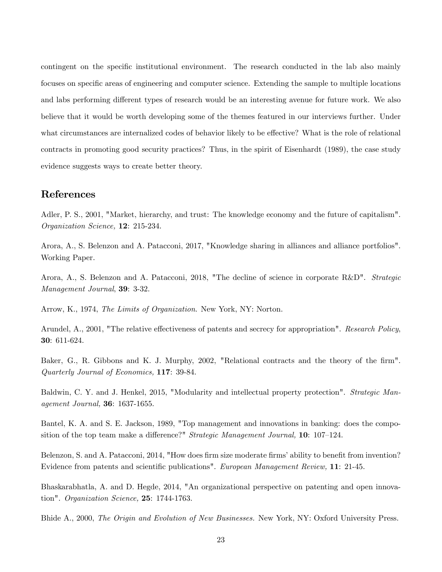contingent on the specific institutional environment. The research conducted in the lab also mainly focuses on specific areas of engineering and computer science. Extending the sample to multiple locations and labs performing different types of research would be an interesting avenue for future work. We also believe that it would be worth developing some of the themes featured in our interviews further. Under what circumstances are internalized codes of behavior likely to be effective? What is the role of relational contracts in promoting good security practices? Thus, in the spirit of Eisenhardt (1989), the case study evidence suggests ways to create better theory.

### References

Adler, P. S., 2001, "Market, hierarchy, and trust: The knowledge economy and the future of capitalism". Organization Science, 12: 215-234.

Arora, A., S. Belenzon and A. Patacconi, 2017, "Knowledge sharing in alliances and alliance portfolios". Working Paper.

Arora, A., S. Belenzon and A. Patacconi, 2018, "The decline of science in corporate R&D". Strategic Management Journal, 39: 3-32.

Arrow, K., 1974, The Limits of Organization. New York, NY: Norton.

Arundel, A., 2001, "The relative effectiveness of patents and secrecy for appropriation". Research Policy, 30: 611-624.

Baker, G., R. Gibbons and K. J. Murphy, 2002, "Relational contracts and the theory of the firm". Quarterly Journal of Economics, 117: 39-84.

Baldwin, C. Y. and J. Henkel, 2015, "Modularity and intellectual property protection". *Strategic Man*agement Journal, 36: 1637-1655.

Bantel, K. A. and S. E. Jackson, 1989, "Top management and innovations in banking: does the composition of the top team make a difference?" Strategic Management Journal,  $10: 107-124$ .

Belenzon, S. and A. Patacconi, 2014, "How does firm size moderate firms' ability to benefit from invention? Evidence from patents and scientific publications". European Management Review, 11: 21-45.

Bhaskarabhatla, A. and D. Hegde, 2014, "An organizational perspective on patenting and open innovation". Organization Science, 25: 1744-1763.

Bhide A., 2000, The Origin and Evolution of New Businesses. New York, NY: Oxford University Press.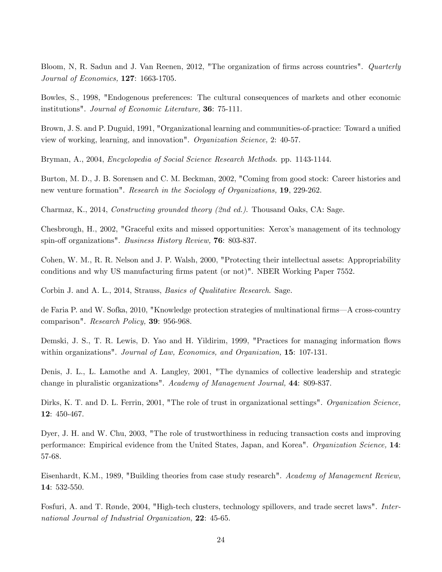Bloom, N, R. Sadun and J. Van Reenen, 2012, "The organization of firms across countries". Quarterly Journal of Economics, 127: 1663-1705.

Bowles, S., 1998, "Endogenous preferences: The cultural consequences of markets and other economic institutions". Journal of Economic Literature, 36: 75-111.

Brown, J. S. and P. Duguid, 1991, "Organizational learning and communities-of-practice: Toward a unified view of working, learning, and innovation". Organization Science, 2: 40-57.

Bryman, A., 2004, Encyclopedia of Social Science Research Methods. pp. 1143-1144.

Burton, M. D., J. B. Sorensen and C. M. Beckman, 2002, "Coming from good stock: Career histories and new venture formation". Research in the Sociology of Organizations, 19, 229-262.

Charmaz, K., 2014, Constructing grounded theory (2nd ed.). Thousand Oaks, CA: Sage.

Chesbrough, H., 2002, "Graceful exits and missed opportunities: Xerox's management of its technology spin-off organizations". Business History Review, 76: 803-837.

Cohen, W. M., R. R. Nelson and J. P. Walsh, 2000, "Protecting their intellectual assets: Appropriability conditions and why US manufacturing firms patent (or not)". NBER Working Paper 7552.

Corbin J. and A. L., 2014, Strauss, Basics of Qualitative Research. Sage.

de Faria P. and W. Sofka, 2010, "Knowledge protection strategies of multinational firms—A cross-country comparison". Research Policy, 39: 956-968.

Demski, J. S., T. R. Lewis, D. Yao and H. Yildirim, 1999, "Practices for managing information flows within organizations". Journal of Law, Economics, and Organization, 15: 107-131.

Denis, J. L., L. Lamothe and A. Langley, 2001, "The dynamics of collective leadership and strategic change in pluralistic organizations". Academy of Management Journal, 44: 809-837.

Dirks, K. T. and D. L. Ferrin, 2001, "The role of trust in organizational settings". Organization Science, 12: 450-467.

Dyer, J. H. and W. Chu, 2003, "The role of trustworthiness in reducing transaction costs and improving performance: Empirical evidence from the United States, Japan, and Korea". Organization Science, 14: 57-68.

Eisenhardt, K.M., 1989, "Building theories from case study research". Academy of Management Review, 14: 532-550.

Fosfuri, A. and T. Rønde, 2004, "High-tech clusters, technology spillovers, and trade secret laws". International Journal of Industrial Organization, 22: 45-65.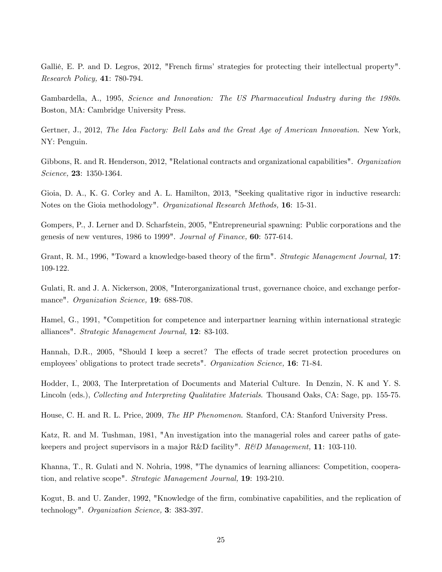Gallié, E. P. and D. Legros, 2012, "French firms' strategies for protecting their intellectual property". Research Policy, 41: 780-794.

Gambardella, A., 1995, Science and Innovation: The US Pharmaceutical Industry during the 1980s. Boston, MA: Cambridge University Press.

Gertner, J., 2012, The Idea Factory: Bell Labs and the Great Age of American Innovation. New York, NY: Penguin.

Gibbons, R. and R. Henderson, 2012, "Relational contracts and organizational capabilities". Organization Science, **23**: 1350-1364.

Gioia, D. A., K. G. Corley and A. L. Hamilton, 2013, "Seeking qualitative rigor in inductive research: Notes on the Gioia methodology". Organizational Research Methods, 16: 15-31.

Gompers, P., J. Lerner and D. Scharfstein, 2005, "Entrepreneurial spawning: Public corporations and the genesis of new ventures, 1986 to 1999". Journal of Finance, 60: 577-614.

Grant, R. M., 1996, "Toward a knowledge-based theory of the firm". *Strategic Management Journal*, 17: 109-122.

Gulati, R. and J. A. Nickerson, 2008, "Interorganizational trust, governance choice, and exchange performance". *Organization Science*, **19**: 688-708.

Hamel, G., 1991, "Competition for competence and interpartner learning within international strategic alliances". Strategic Management Journal, 12: 83-103.

Hannah, D.R., 2005, "Should I keep a secret? The effects of trade secret protection procedures on employees' obligations to protect trade secrets". Organization Science, 16: 71-84.

Hodder, I., 2003, The Interpretation of Documents and Material Culture. In Denzin, N. K and Y. S. Lincoln (eds.), Collecting and Interpreting Qualitative Materials. Thousand Oaks, CA: Sage, pp. 155-75.

House, C. H. and R. L. Price, 2009, The HP Phenomenon. Stanford, CA: Stanford University Press.

Katz, R. and M. Tushman, 1981, "An investigation into the managerial roles and career paths of gatekeepers and project supervisors in a major R&D facility". R&D Management, 11: 103-110.

Khanna, T., R. Gulati and N. Nohria, 1998, "The dynamics of learning alliances: Competition, cooperation, and relative scope". Strategic Management Journal, 19: 193-210.

Kogut, B. and U. Zander, 1992, "Knowledge of the Örm, combinative capabilities, and the replication of technology". Organization Science, 3: 383-397.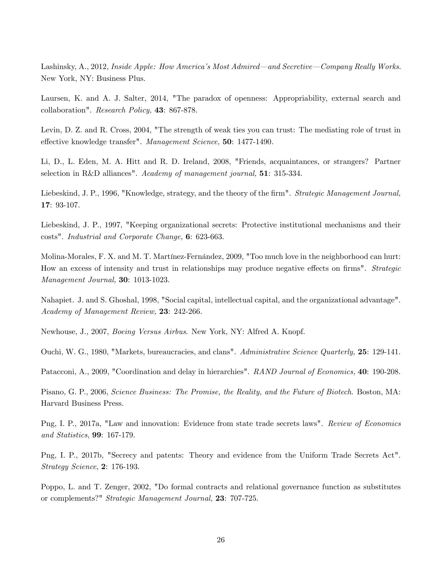Lashinsky, A., 2012, *Inside Apple: How America's Most Admired—and Secretive—Company Really Works.* New York, NY: Business Plus.

Laursen, K. and A. J. Salter, 2014, "The paradox of openness: Appropriability, external search and collaboration". Research Policy, 43: 867-878.

Levin, D. Z. and R. Cross, 2004, "The strength of weak ties you can trust: The mediating role of trust in effective knowledge transfer". Management Science, 50: 1477-1490.

Li, D., L. Eden, M. A. Hitt and R. D. Ireland, 2008, "Friends, acquaintances, or strangers? Partner selection in R&D alliances". Academy of management journal, 51: 315-334.

Liebeskind, J. P., 1996, "Knowledge, strategy, and the theory of the firm". Strategic Management Journal, 17: 93-107.

Liebeskind, J. P., 1997, "Keeping organizational secrets: Protective institutional mechanisms and their costs". Industrial and Corporate Change, 6: 623-663.

Molina-Morales, F. X. and M. T. Martínez-Fernández, 2009, "Too much love in the neighborhood can hurt: How an excess of intensity and trust in relationships may produce negative effects on firms". Strategic Management Journal, 30: 1013-1023.

Nahapiet. J. and S. Ghoshal, 1998, "Social capital, intellectual capital, and the organizational advantage". Academy of Management Review, 23: 242-266.

Newhouse, J., 2007, Boeing Versus Airbus. New York, NY: Alfred A. Knopf.

Ouchi, W. G., 1980, "Markets, bureaucracies, and clans". Administrative Science Quarterly, 25: 129-141.

Patacconi, A., 2009, "Coordination and delay in hierarchies". RAND Journal of Economics, 40: 190-208.

Pisano, G. P., 2006, Science Business: The Promise, the Reality, and the Future of Biotech. Boston, MA: Harvard Business Press.

Png, I. P., 2017a, "Law and innovation: Evidence from state trade secrets laws". Review of Economics and Statistics, 99: 167-179.

Png, I. P., 2017b, "Secrecy and patents: Theory and evidence from the Uniform Trade Secrets Act". Strategy Science, 2: 176-193.

Poppo, L. and T. Zenger, 2002, "Do formal contracts and relational governance function as substitutes or complements?" Strategic Management Journal, 23: 707-725.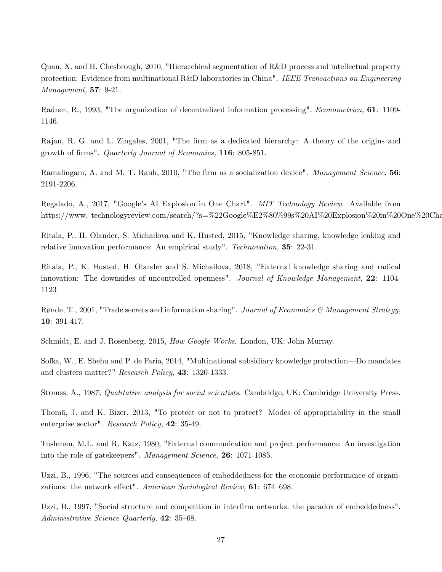Quan, X. and H. Chesbrough, 2010, "Hierarchical segmentation of R&D process and intellectual property protection: Evidence from multinational R&D laboratories in China". IEEE Transactions on Engineering Management, 57: 9-21.

Radner, R., 1993, "The organization of decentralized information processing". *Econometrica*, **61**: 1109-1146.

Rajan, R. G. and L. Zingales, 2001, "The firm as a dedicated hierarchy: A theory of the origins and growth of firms". Quarterly Journal of Economics, 116: 805-851.

Ramalingam, A. and M. T. Rauh, 2010, "The firm as a socialization device". Management Science, 56: 2191-2206.

Regalado, A., 2017, "Google's AI Explosion in One Chart". *MIT Technology Review*. Available from https://www. technologyreview.com/search/?s=%22Google%E2%80%99s%20AI%20Explosion%20in%20One%20Cha

Ritala, P., H. Olander, S. Michailova and K. Husted, 2015, "Knowledge sharing, knowledge leaking and relative innovation performance: An empirical study". Technovation, 35: 22-31.

Ritala, P., K. Husted, H. Olander and S. Michailova, 2018, "External knowledge sharing and radical innovation: The downsides of uncontrolled openness". Journal of Knowledge Management, 22: 1104-1123

Rønde, T., 2001, "Trade secrets and information sharing". Journal of Economics & Management Strategy, 10: 391-417.

Schmidt, E. and J. Rosenberg, 2015, How Google Works. London, UK: John Murray.

Sofka, W., E. Shehu and P. de Faria, 2014, "Multinational subsidiary knowledge protection—Do mandates and clusters matter?" Research Policy, 43: 1320-1333.

Strauss, A., 1987, Qualitative analysis for social scientists. Cambridge, UK: Cambridge University Press.

Thom‰, J. and K. Bizer, 2013, "To protect or not to protect? Modes of appropriability in the small enterprise sector". Research Policy, 42: 35-49.

Tushman, M.L. and R. Katz, 1980, "External communication and project performance: An investigation into the role of gatekeepers". Management Science, 26: 1071-1085.

Uzzi, B., 1996, "The sources and consequences of embeddedness for the economic performance of organizations: the network effect". American Sociological Review, 61: 674–698.

Uzzi, B., 1997, "Social structure and competition in interfirm networks: the paradox of embeddedness". Administrative Science Quarterly,  $42: 35-68$ .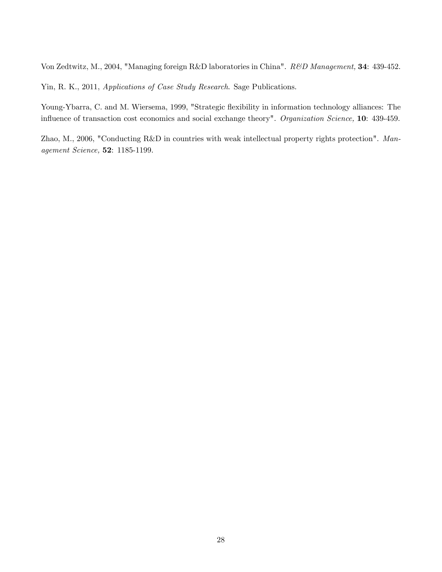Von Zedtwitz, M., 2004, "Managing foreign R&D laboratories in China". R&D Management, 34: 439-452.

Yin, R. K., 2011, Applications of Case Study Research. Sage Publications.

Young-Ybarra, C. and M. Wiersema, 1999, "Strategic flexibility in information technology alliances: The influence of transaction cost economics and social exchange theory". Organization Science, 10: 439-459.

Zhao, M., 2006, "Conducting R&D in countries with weak intellectual property rights protection". Management Science, 52: 1185-1199.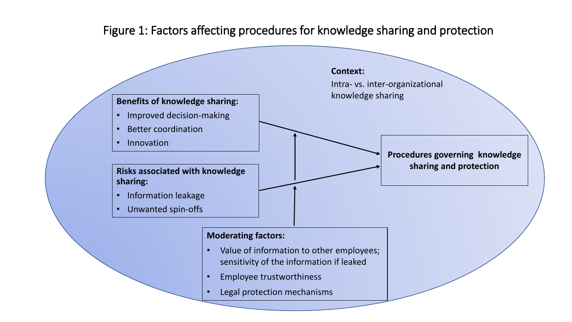# **Moderating factors:** • Value of information to other employees; sensitivity of the information if leaked • Employee trustworthiness • Legal protection mechanisms **Benefits of knowledge sharing:** • Improved decision-making • Better coordination • Innovation **Risks associated with knowledge sharing:** • Information leakage • Unwanted spin-offs **Procedures governing knowledge sharing and protection Context:** Intra- vs. inter-organizational knowledge sharing

## Figure 1: Factors affecting procedures for knowledge sharing and protection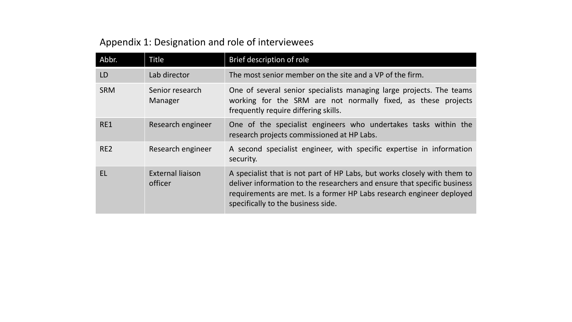## Appendix 1: Designation and role of interviewees

| Abbr.           | Title                              | Brief description of role                                                                                                                                                                                                                                          |
|-----------------|------------------------------------|--------------------------------------------------------------------------------------------------------------------------------------------------------------------------------------------------------------------------------------------------------------------|
| <b>LD</b>       | Lab director                       | The most senior member on the site and a VP of the firm.                                                                                                                                                                                                           |
| <b>SRM</b>      | Senior research<br>Manager         | One of several senior specialists managing large projects. The teams<br>working for the SRM are not normally fixed, as these projects<br>frequently require differing skills.                                                                                      |
| RE1             | Research engineer                  | One of the specialist engineers who undertakes tasks within the<br>research projects commissioned at HP Labs.                                                                                                                                                      |
| RE <sub>2</sub> | Research engineer                  | A second specialist engineer, with specific expertise in information<br>security.                                                                                                                                                                                  |
| <b>EL</b>       | <b>External liaison</b><br>officer | A specialist that is not part of HP Labs, but works closely with them to<br>deliver information to the researchers and ensure that specific business<br>requirements are met. Is a former HP Labs research engineer deployed<br>specifically to the business side. |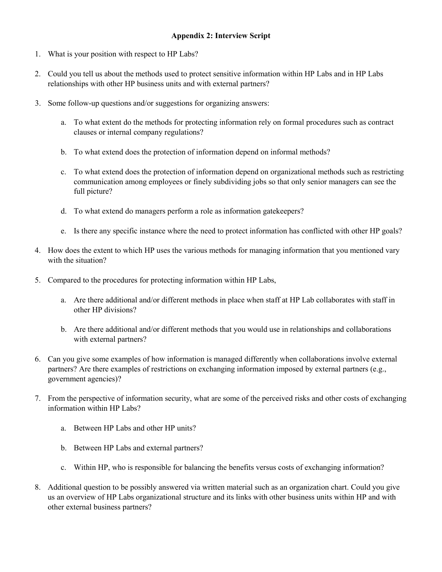### **Appendix 2: Interview Script**

- 1. What is your position with respect to HP Labs?
- 2. Could you tell us about the methods used to protect sensitive information within HP Labs and in HP Labs relationships with other HP business units and with external partners?
- 3. Some follow-up questions and/or suggestions for organizing answers:
	- a. To what extent do the methods for protecting information rely on formal procedures such as contract clauses or internal company regulations?
	- b. To what extend does the protection of information depend on informal methods?
	- c. To what extend does the protection of information depend on organizational methods such as restricting communication among employees or finely subdividing jobs so that only senior managers can see the full picture?
	- d. To what extend do managers perform a role as information gatekeepers?
	- e. Is there any specific instance where the need to protect information has conflicted with other HP goals?
- 4. How does the extent to which HP uses the various methods for managing information that you mentioned vary with the situation?
- 5. Compared to the procedures for protecting information within HP Labs,
	- a. Are there additional and/or different methods in place when staff at HP Lab collaborates with staff in other HP divisions?
	- b. Are there additional and/or different methods that you would use in relationships and collaborations with external partners?
- 6. Can you give some examples of how information is managed differently when collaborations involve external partners? Are there examples of restrictions on exchanging information imposed by external partners (e.g., government agencies)?
- 7. From the perspective of information security, what are some of the perceived risks and other costs of exchanging information within HP Labs?
	- a. Between HP Labs and other HP units?
	- b. Between HP Labs and external partners?
	- c. Within HP, who is responsible for balancing the benefits versus costs of exchanging information?
- 8. Additional question to be possibly answered via written material such as an organization chart. Could you give us an overview of HP Labs organizational structure and its links with other business units within HP and with other external business partners?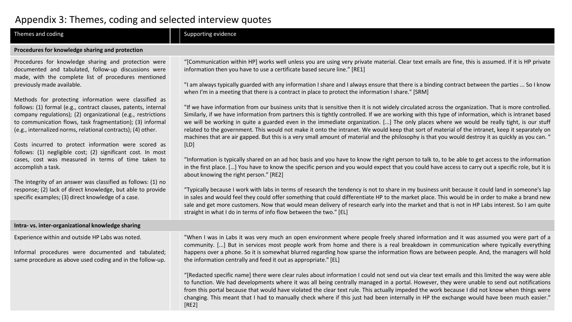| Themes and coding                                                                                                                                                                                                                                                                                                                                                            | Supporting evidence                                                                                                                                                                                                                                                                                                                                                                                                                                                                                                                                                                                                                                                                                                                                                        |  |  |
|------------------------------------------------------------------------------------------------------------------------------------------------------------------------------------------------------------------------------------------------------------------------------------------------------------------------------------------------------------------------------|----------------------------------------------------------------------------------------------------------------------------------------------------------------------------------------------------------------------------------------------------------------------------------------------------------------------------------------------------------------------------------------------------------------------------------------------------------------------------------------------------------------------------------------------------------------------------------------------------------------------------------------------------------------------------------------------------------------------------------------------------------------------------|--|--|
| Procedures for knowledge sharing and protection                                                                                                                                                                                                                                                                                                                              |                                                                                                                                                                                                                                                                                                                                                                                                                                                                                                                                                                                                                                                                                                                                                                            |  |  |
| Procedures for knowledge sharing and protection were<br>documented and tabulated, follow-up discussions were<br>made, with the complete list of procedures mentioned                                                                                                                                                                                                         | "[Communication within HP] works well unless you are using very private material. Clear text emails are fine, this is assumed. If it is HP private<br>information then you have to use a certificate based secure line." [RE1]                                                                                                                                                                                                                                                                                                                                                                                                                                                                                                                                             |  |  |
| previously made available.                                                                                                                                                                                                                                                                                                                                                   | "I am always typically guarded with any information I share and I always ensure that there is a binding contract between the parties  So I know<br>when I'm in a meeting that there is a contract in place to protect the information I share." [SRM]                                                                                                                                                                                                                                                                                                                                                                                                                                                                                                                      |  |  |
| Methods for protecting information were classified as<br>follows: (1) formal (e.g., contract clauses, patents, internal<br>company regulations); (2) organizational (e.g., restrictions<br>to communication flows, task fragmentation); (3) informal<br>(e.g., internalized norms, relational contracts); (4) other.<br>Costs incurred to protect information were scored as | "If we have information from our business units that is sensitive then it is not widely circulated across the organization. That is more controlled.<br>Similarly, if we have information from partners this is tightly controlled. If we are working with this type of information, which is intranet based<br>we will be working in quite a guarded even in the immediate organization. [] The only places where we would be really tight, is our stuff<br>related to the government. This would not make it onto the intranet. We would keep that sort of material of the intranet, keep it separately on<br>machines that are air gapped. But this is a very small amount of material and the philosophy is that you would destroy it as quickly as you can. "<br>[LD] |  |  |
| follows: (1) negligible cost; (2) significant cost. In most<br>cases, cost was measured in terms of time taken to<br>accomplish a task.<br>The integrity of an answer was classified as follows: (1) no                                                                                                                                                                      | "Information is typically shared on an ad hoc basis and you have to know the right person to talk to, to be able to get access to the information<br>in the first place. [] You have to know the specific person and you would expect that you could have access to carry out a specific role, but it is<br>about knowing the right person." [RE2]                                                                                                                                                                                                                                                                                                                                                                                                                         |  |  |
| response; (2) lack of direct knowledge, but able to provide<br>specific examples; (3) direct knowledge of a case.                                                                                                                                                                                                                                                            | "Typically because I work with labs in terms of research the tendency is not to share in my business unit because it could land in someone's lap<br>in sales and would feel they could offer something that could differentiate HP to the market place. This would be in order to make a brand new<br>sale and get more customers. Now that would mean delivery of research early into the market and that is not in HP Labs interest. So I am quite<br>straight in what I do in terms of info flow between the two." [EL]                                                                                                                                                                                                                                                 |  |  |
| Intra- vs. inter-organizational knowledge sharing                                                                                                                                                                                                                                                                                                                            |                                                                                                                                                                                                                                                                                                                                                                                                                                                                                                                                                                                                                                                                                                                                                                            |  |  |
| Experience within and outside HP Labs was noted.<br>Informal procedures were documented and tabulated;<br>same procedure as above used coding and in the follow-up.                                                                                                                                                                                                          | "When I was in Labs it was very much an open environment where people freely shared information and it was assumed you were part of a<br>community. [] But in services most people work from home and there is a real breakdown in communication where typically everything<br>happens over a phone. So it is somewhat blurred regarding how sparse the information flows are between people. And, the managers will hold<br>the information centrally and feed it out as appropriate." [EL]                                                                                                                                                                                                                                                                               |  |  |
|                                                                                                                                                                                                                                                                                                                                                                              | "[Redacted specific name] there were clear rules about information I could not send out via clear text emails and this limited the way were able<br>to function. We had developments where it was all being centrally managed in a portal. However, they were unable to send out notifications<br>from this portal because that would have violated the clear text rule. This actually impeded the work because I did not know when things were<br>changing. This meant that I had to manually check where if this just had been internally in HP the exchange would have been much easier."<br>[RE2]                                                                                                                                                                      |  |  |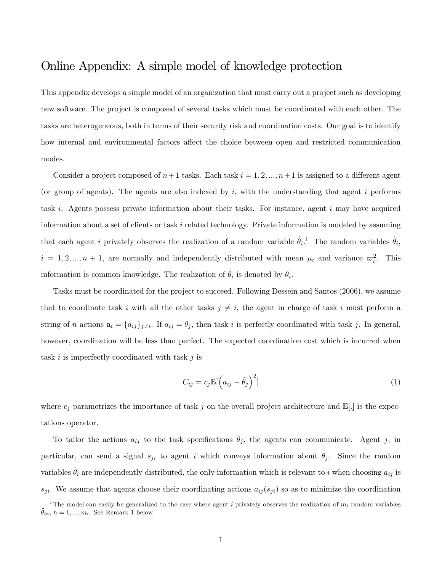## Online Appendix: A simple model of knowledge protection

This appendix develops a simple model of an organization that must carry out a project such as developing new software. The project is composed of several tasks which must be coordinated with each other. The tasks are heterogeneous, both in terms of their security risk and coordination costs. Our goal is to identify how internal and environmental factors affect the choice between open and restricted communication modes.

Consider a project composed of  $n+1$  tasks. Each task  $i = 1, 2, ..., n+1$  is assigned to a different agent (or group of agents). The agents are also indexed by  $i$ , with the understanding that agent  $i$  performs task i. Agents possess private information about their tasks. For instance, agent i may have acquired information about a set of clients or task i related technology. Private information is modeled by assuming that each agent i privately observes the realization of a random variable  $\tilde{\theta}_i$ .<sup>1</sup> The random variables  $\tilde{\theta}_i$ ,  $i = 1, 2, ..., n + 1$ , are normally and independently distributed with mean  $\mu_i$  and variance  $\overline{\omega}_i^2$ . This information is common knowledge. The realization of  $\tilde{\theta}_i$  is denoted by  $\theta_i$ .

Tasks must be coordinated for the project to succeed. Following Dessein and Santos (2006), we assume that to coordinate task i with all the other tasks  $j \neq i$ , the agent in charge of task i must perform a string of n actions  $\mathbf{a}_i = \{a_{ij}\}_{j \neq i}$ . If  $a_{ij} = \theta_j$ , then task i is perfectly coordinated with task j. In general, however, coordination will be less than perfect. The expected coordination cost which is incurred when task  $i$  is imperfectly coordinated with task  $j$  is

$$
C_{ij} = c_j \mathbb{E}[\left(a_{ij} - \tilde{\theta}_j\right)^2]
$$
\n(1)

where  $c_j$  parametrizes the importance of task j on the overall project architecture and  $\mathbb{E}[\cdot]$  is the expectations operator.

To tailor the actions  $a_{ij}$  to the task specifications  $\theta_j$ , the agents can communicate. Agent j, in particular, can send a signal  $s_{ji}$  to agent i which conveys information about  $\theta_j$ . Since the random variables  $\tilde{\theta}_i$  are independently distributed, the only information which is relevant to i when choosing  $a_{ij}$  is  $s_{ji}$ . We assume that agents choose their coordinating actions  $a_{ij}(s_{ji})$  so as to minimize the coordination

<sup>&</sup>lt;sup>1</sup>The model can easily be generalized to the case where agent i privately observes the realization of  $m_i$  random variables  $\tilde{\theta}_{ih}, h = 1, ..., m_i$ . See Remark 1 below.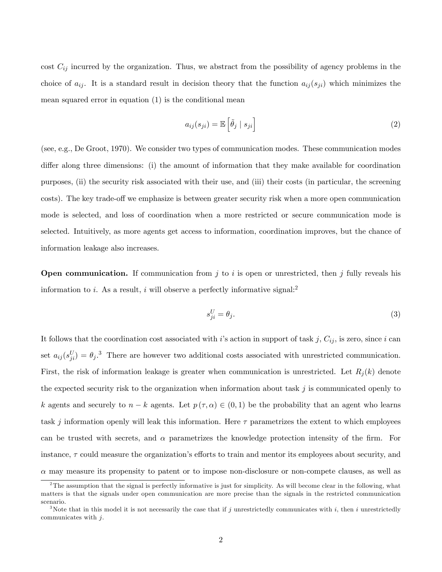cost  $C_{ij}$  incurred by the organization. Thus, we abstract from the possibility of agency problems in the choice of  $a_{ij}$ . It is a standard result in decision theory that the function  $a_{ij}(s_{ji})$  which minimizes the mean squared error in equation (1) is the conditional mean

$$
a_{ij}(s_{ji}) = \mathbb{E}\left[\tilde{\theta}_j \mid s_{ji}\right]
$$
\n(2)

(see, e.g., De Groot, 1970). We consider two types of communication modes. These communication modes differ along three dimensions: (i) the amount of information that they make available for coordination purposes, (ii) the security risk associated with their use, and (iii) their costs (in particular, the screening costs). The key trade-off we emphasize is between greater security risk when a more open communication mode is selected, and loss of coordination when a more restricted or secure communication mode is selected. Intuitively, as more agents get access to information, coordination improves, but the chance of information leakage also increases.

**Open communication.** If communication from  $j$  to  $i$  is open or unrestricted, then  $j$  fully reveals his information to i. As a result, i will observe a perfectly informative signal:<sup>2</sup>

$$
s_{ji}^U = \theta_j. \tag{3}
$$

It follows that the coordination cost associated with i's action in support of task j,  $C_{ij}$ , is zero, since i can set  $a_{ij}(s_{ji}^U) = \theta_j$ .<sup>3</sup> There are however two additional costs associated with unrestricted communication. First, the risk of information leakage is greater when communication is unrestricted. Let  $R_i(k)$  denote the expected security risk to the organization when information about task  $j$  is communicated openly to k agents and securely to  $n - k$  agents. Let  $p(\tau, \alpha) \in (0, 1)$  be the probability that an agent who learns task j information openly will leak this information. Here  $\tau$  parametrizes the extent to which employees can be trusted with secrets, and  $\alpha$  parametrizes the knowledge protection intensity of the firm. For instance,  $\tau$  could measure the organization's efforts to train and mentor its employees about security, and  $\alpha$  may measure its propensity to patent or to impose non-disclosure or non-compete clauses, as well as

 $2^2$ The assumption that the signal is perfectly informative is just for simplicity. As will become clear in the following, what matters is that the signals under open communication are more precise than the signals in the restricted communication scenario.

<sup>&</sup>lt;sup>3</sup>Note that in this model it is not necessarily the case that if j unrestrictedly communicates with i, then i unrestrictedly communicates with  $i$ .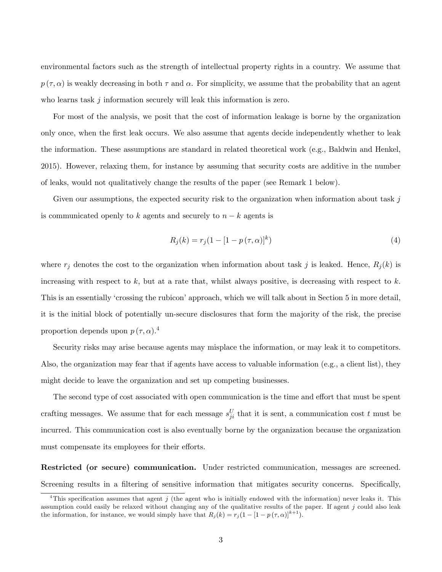environmental factors such as the strength of intellectual property rights in a country. We assume that  $p(\tau, \alpha)$  is weakly decreasing in both  $\tau$  and  $\alpha$ . For simplicity, we assume that the probability that an agent who learns task  $j$  information securely will leak this information is zero.

For most of the analysis, we posit that the cost of information leakage is borne by the organization only once, when the Örst leak occurs. We also assume that agents decide independently whether to leak the information. These assumptions are standard in related theoretical work (e.g., Baldwin and Henkel, 2015). However, relaxing them, for instance by assuming that security costs are additive in the number of leaks, would not qualitatively change the results of the paper (see Remark 1 below).

Given our assumptions, the expected security risk to the organization when information about task  $j$ is communicated openly to k agents and securely to  $n - k$  agents is

$$
R_j(k) = r_j(1 - [1 - p(\tau, \alpha)]^k)
$$
\n(4)

where  $r_j$  denotes the cost to the organization when information about task j is leaked. Hence,  $R_j(k)$  is increasing with respect to  $k$ , but at a rate that, whilst always positive, is decreasing with respect to  $k$ . This is an essentially 'crossing the rubicon' approach, which we will talk about in Section 5 in more detail, it is the initial block of potentially un-secure disclosures that form the majority of the risk, the precise proportion depends upon  $p(\tau, \alpha)$ .<sup>4</sup>

Security risks may arise because agents may misplace the information, or may leak it to competitors. Also, the organization may fear that if agents have access to valuable information (e.g., a client list), they might decide to leave the organization and set up competing businesses.

The second type of cost associated with open communication is the time and effort that must be spent crafting messages. We assume that for each message  $s_{ji}^U$  that it is sent, a communication cost t must be incurred. This communication cost is also eventually borne by the organization because the organization must compensate its employees for their efforts.

Restricted (or secure) communication. Under restricted communication, messages are screened. Screening results in a filtering of sensitive information that mitigates security concerns. Specifically,

<sup>&</sup>lt;sup>4</sup>This specification assumes that agent j (the agent who is initially endowed with the information) never leaks it. This assumption could easily be relaxed without changing any of the qualitative results of the paper. If agent  $j$  could also leak the information, for instance, we would simply have that  $R_i(k) = r_i (1 - [1 - p(\tau, \alpha)]^{k+1}).$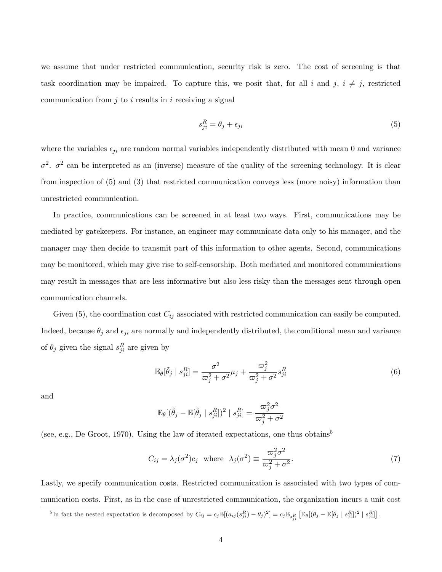we assume that under restricted communication, security risk is zero. The cost of screening is that task coordination may be impaired. To capture this, we posit that, for all i and j,  $i \neq j$ , restricted communication from  $j$  to  $i$  results in  $i$  receiving a signal

$$
s_{ji}^R = \theta_j + \epsilon_{ji} \tag{5}
$$

where the variables  $\epsilon_{ji}$  are random normal variables independently distributed with mean 0 and variance  $\sigma^2$ .  $\sigma^2$  can be interpreted as an (inverse) measure of the quality of the screening technology. It is clear from inspection of (5) and (3) that restricted communication conveys less (more noisy) information than unrestricted communication.

In practice, communications can be screened in at least two ways. First, communications may be mediated by gatekeepers. For instance, an engineer may communicate data only to his manager, and the manager may then decide to transmit part of this information to other agents. Second, communications may be monitored, which may give rise to self-censorship. Both mediated and monitored communications may result in messages that are less informative but also less risky than the messages sent through open communication channels.

Given (5), the coordination cost  $C_{ij}$  associated with restricted communication can easily be computed. Indeed, because  $\theta_j$  and  $\epsilon_{ji}$  are normally and independently distributed, the conditional mean and variance of  $\theta_j$  given the signal  $s_{ji}^R$  are given by

$$
\mathbb{E}_{\theta}[\tilde{\theta}_j \mid s_{ji}^R] = \frac{\sigma^2}{\varpi_j^2 + \sigma^2} \mu_j + \frac{\varpi_j^2}{\varpi_j^2 + \sigma^2} s_{ji}^R
$$
\n(6)

and

$$
\mathbb{E}_{\theta}[(\widetilde{\theta}_{j}-\mathbb{E}[\widetilde{\theta}_{j} \mid s_{ji}^{R}])^{2} \mid s_{ji}^{R}] = \frac{\varpi_{j}^{2}\sigma^{2}}{\varpi_{j}^{2}+\sigma^{2}}
$$

(see, e.g., De Groot, 1970). Using the law of iterated expectations, one thus obtains<sup>5</sup>

$$
C_{ij} = \lambda_j(\sigma^2)c_j \text{ where } \lambda_j(\sigma^2) \equiv \frac{\varpi_j^2 \sigma^2}{\varpi_j^2 + \sigma^2}.
$$
 (7)

Lastly, we specify communication costs. Restricted communication is associated with two types of communication costs. First, as in the case of unrestricted communication, the organization incurs a unit cost

<sup>&</sup>lt;sup>5</sup>In fact the nested expectation is decomposed by  $C_{ij} = c_j \mathbb{E}[(a_{ij}(s_{ji}^R) - \theta_j)^2] = c_j \mathbb{E}_{s_{ji}^R} [\mathbb{E}_{\theta}[(\theta_j - \mathbb{E}[\theta_j \mid s_{ji}^R])^2 \mid s_{ji}^R] ]$ .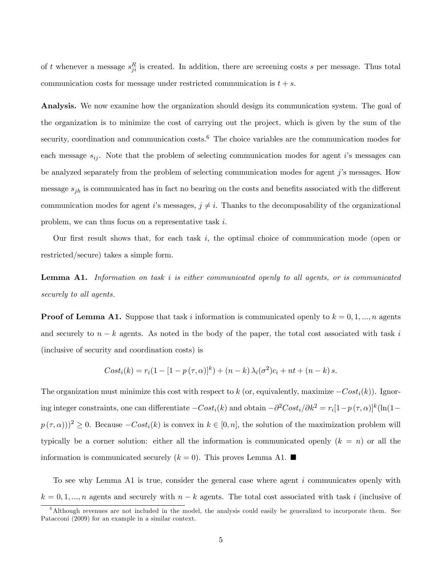of t whenever a message  $s_{ji}^R$  is created. In addition, there are screening costs s per message. Thus total communication costs for message under restricted communication is  $t + s$ .

Analysis. We now examine how the organization should design its communication system. The goal of the organization is to minimize the cost of carrying out the project, which is given by the sum of the security, coordination and communication costs.<sup>6</sup> The choice variables are the communication modes for each message  $s_{ij}$ . Note that the problem of selecting communication modes for agent i's messages can be analyzed separately from the problem of selecting communication modes for agent jís messages. How message  $s_{jh}$  is communicated has in fact no bearing on the costs and benefits associated with the different communication modes for agent is messages,  $j \neq i$ . Thanks to the decomposability of the organizational problem, we can thus focus on a representative task i.

Our first result shows that, for each task  $i$ , the optimal choice of communication mode (open or restricted/secure) takes a simple form.

**Lemma A1.** Information on task i is either communicated openly to all agents, or is communicated securely to all agents.

**Proof of Lemma A1.** Suppose that task i information is communicated openly to  $k = 0, 1, ..., n$  agents and securely to  $n - k$  agents. As noted in the body of the paper, the total cost associated with task i (inclusive of security and coordination costs) is

$$
Cost_i(k) = r_i(1 - [1 - p(\tau, \alpha)]^k) + (n - k)\lambda_i(\sigma^2)c_i + nt + (n - k)s.
$$

The organization must minimize this cost with respect to k (or, equivalently, maximize  $-Cost<sub>i</sub>(k)$ ). Ignoring integer constraints, one can differentiate  $-Cost_i(k)$  and obtain  $-\partial^2 Cost_i/\partial k^2 = r_i[1-p(\tau,\alpha)]^k(\ln(1-\alpha))$  $p(\tau,\alpha)$ )<sup>2</sup>  $\geq$  0. Because  $-Cost_i(k)$  is convex in  $k \in [0,n]$ , the solution of the maximization problem will typically be a corner solution: either all the information is communicated openly  $(k = n)$  or all the information is communicated securely  $(k = 0)$ . This proves Lemma A1.

To see why Lemma A1 is true, consider the general case where agent  $i$  communicates openly with  $k = 0, 1, ..., n$  agents and securely with  $n - k$  agents. The total cost associated with task i (inclusive of

 $6$ Although revenues are not included in the model, the analysis could easily be generalized to incorporate them. See Patacconi (2009) for an example in a similar context.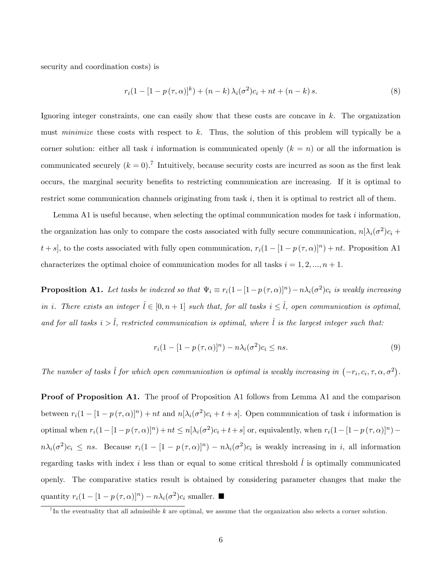security and coordination costs) is

$$
r_i(1 - [1 - p(\tau, \alpha)]^k) + (n - k)\lambda_i(\sigma^2)c_i + nt + (n - k)s.
$$
\n(8)

Ignoring integer constraints, one can easily show that these costs are concave in  $k$ . The organization must *minimize* these costs with respect to k. Thus, the solution of this problem will typically be a corner solution: either all task i information is communicated openly  $(k = n)$  or all the information is communicated securely  $(k = 0)$ .<sup>7</sup> Intuitively, because security costs are incurred as soon as the first leak occurs, the marginal security benefits to restricting communication are increasing. If it is optimal to restrict some communication channels originating from task  $i$ , then it is optimal to restrict all of them.

Lemma A1 is useful because, when selecting the optimal communication modes for task i information, the organization has only to compare the costs associated with fully secure communication,  $n[\lambda_i(\sigma^2)c_i +$  $t + s$ , to the costs associated with fully open communication,  $r_i(1 - [1 - p(\tau, \alpha)]^n) + nt$ . Proposition A1 characterizes the optimal choice of communication modes for all tasks  $i = 1, 2, ..., n + 1$ .

**Proposition A1.** Let tasks be indexed so that  $\Psi_i \equiv r_i(1 - [1 - p(\tau, \alpha)]^n) - n\lambda_i(\sigma^2)c_i$  is weakly increasing in i. There exists an integer  $\hat{l} \in [0, n + 1]$  such that, for all tasks  $i \leq \hat{l}$ , open communication is optimal, and for all tasks  $i > \hat{l}$ , restricted communication is optimal, where  $\hat{l}$  is the largest integer such that:

$$
r_i(1 - [1 - p(\tau, \alpha)]^n) - n\lambda_i(\sigma^2)c_i \le ns. \tag{9}
$$

The number of tasks  $\hat{l}$  for which open communication is optimal is weakly increasing in  $(-r_i, c_i, \tau, \alpha, \sigma^2)$ .

**Proof of Proposition A1.** The proof of Proposition A1 follows from Lemma A1 and the comparison between  $r_i(1 - [1 - p(\tau, \alpha)]^n) + nt$  and  $n[\lambda_i(\sigma^2)c_i + t + s]$ . Open communication of task i information is optimal when  $r_i(1 - [1-p(\tau, \alpha)]^n) + nt \leq n[\lambda_i(\sigma^2)c_i + t+s]$  or, equivalently, when  $r_i(1 - [1-p(\tau, \alpha)]^n)$  $n\lambda_i(\sigma^2)c_i \leq ns$ . Because  $r_i(1 - [1 - p(\tau, \alpha)]^n) - n\lambda_i(\sigma^2)c_i$  is weakly increasing in i, all information regarding tasks with index i less than or equal to some critical threshold  $l$  is optimally communicated openly. The comparative statics result is obtained by considering parameter changes that make the quantity  $r_i(1 - [1 - p(\tau, \alpha)]^n) - n\lambda_i(\sigma^2)c_i$  smaller.

In the eventuality that all admissible k are optimal, we assume that the organization also selects a corner solution.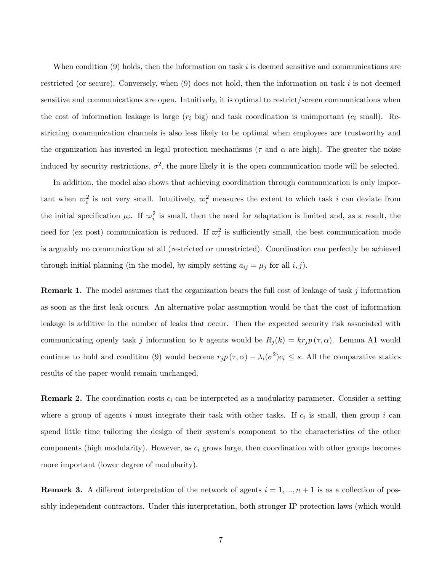When condition  $(9)$  holds, then the information on task i is deemed sensitive and communications are restricted (or secure). Conversely, when  $(9)$  does not hold, then the information on task i is not deemed sensitive and communications are open. Intuitively, it is optimal to restrict/screen communications when the cost of information leakage is large  $(r_i$  big) and task coordination is unimportant  $(c_i \text{ small})$ . Restricting communication channels is also less likely to be optimal when employees are trustworthy and the organization has invested in legal protection mechanisms ( $\tau$  and  $\alpha$  are high). The greater the noise induced by security restrictions,  $\sigma^2$ , the more likely it is the open communication mode will be selected.

In addition, the model also shows that achieving coordination through communication is only important when  $\varpi_i^2$  is not very small. Intuitively,  $\varpi_i^2$  measures the extent to which task i can deviate from the initial specification  $\mu_i$ . If  $\varpi_i^2$  is small, then the need for adaptation is limited and, as a result, the need for (ex post) communication is reduced. If  $\varpi_i^2$  is sufficiently small, the best communication mode is arguably no communication at all (restricted or unrestricted). Coordination can perfectly be achieved through initial planning (in the model, by simply setting  $a_{ij} = \mu_j$  for all  $i, j$ ).

**Remark 1.** The model assumes that the organization bears the full cost of leakage of task j information as soon as the first leak occurs. An alternative polar assumption would be that the cost of information leakage is additive in the number of leaks that occur. Then the expected security risk associated with communicating openly task j information to k agents would be  $R_j(k) = kr_j p(\tau, \alpha)$ . Lemma A1 would continue to hold and condition (9) would become  $r_j p(\tau, \alpha) - \lambda_i(\sigma^2) c_i \leq s$ . All the comparative statics results of the paper would remain unchanged.

**Remark 2.** The coordination costs  $c_i$  can be interpreted as a modularity parameter. Consider a setting where a group of agents i must integrate their task with other tasks. If  $c_i$  is small, then group i can spend little time tailoring the design of their system's component to the characteristics of the other components (high modularity). However, as  $c_i$  grows large, then coordination with other groups becomes more important (lower degree of modularity).

**Remark 3.** A different interpretation of the network of agents  $i = 1, ..., n + 1$  is as a collection of possibly independent contractors. Under this interpretation, both stronger IP protection laws (which would